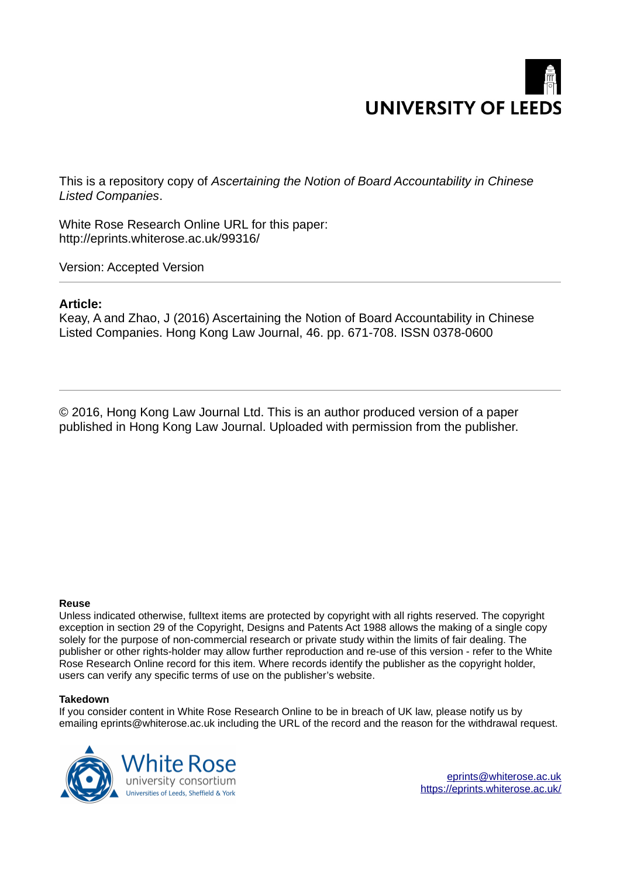

This is a repository copy of *Ascertaining the Notion of Board Accountability in Chinese Listed Companies*.

White Rose Research Online URL for this paper: http://eprints.whiterose.ac.uk/99316/

Version: Accepted Version

#### **Article:**

Keay, A and Zhao, J (2016) Ascertaining the Notion of Board Accountability in Chinese Listed Companies. Hong Kong Law Journal, 46. pp. 671-708. ISSN 0378-0600

© 2016, Hong Kong Law Journal Ltd. This is an author produced version of a paper published in Hong Kong Law Journal. Uploaded with permission from the publisher.

#### **Reuse**

Unless indicated otherwise, fulltext items are protected by copyright with all rights reserved. The copyright exception in section 29 of the Copyright, Designs and Patents Act 1988 allows the making of a single copy solely for the purpose of non-commercial research or private study within the limits of fair dealing. The publisher or other rights-holder may allow further reproduction and re-use of this version - refer to the White Rose Research Online record for this item. Where records identify the publisher as the copyright holder, users can verify any specific terms of use on the publisher's website.

#### **Takedown**

If you consider content in White Rose Research Online to be in breach of UK law, please notify us by emailing eprints@whiterose.ac.uk including the URL of the record and the reason for the withdrawal request.

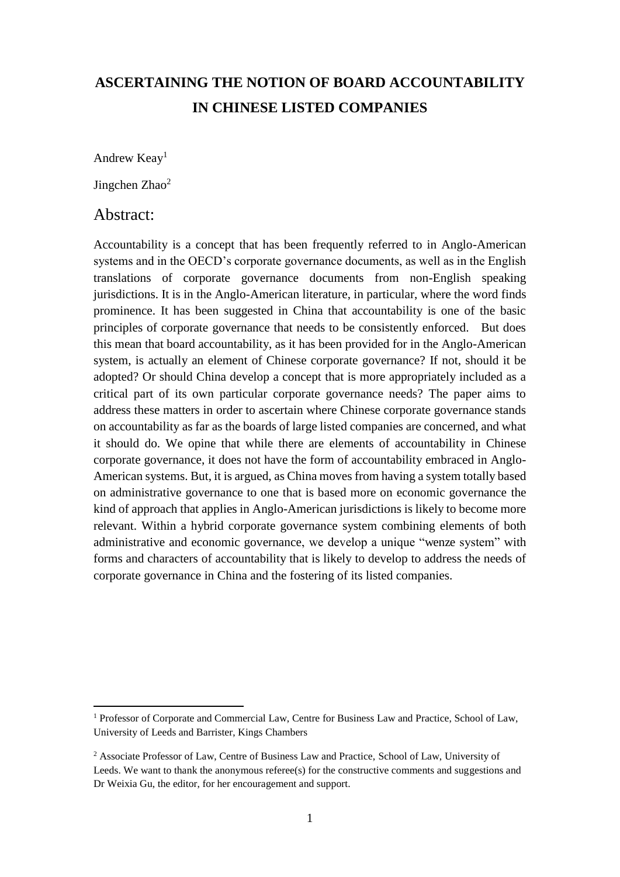# **ASCERTAINING THE NOTION OF BOARD ACCOUNTABILITY IN CHINESE LISTED COMPANIES**

Andrew Keay<sup>1</sup>

Jingchen Zhao<sup>2</sup>

### Abstract:

 $\overline{a}$ 

Accountability is a concept that has been frequently referred to in Anglo-American systems and in the OECD's corporate governance documents, as well as in the English translations of corporate governance documents from non-English speaking jurisdictions. It is in the Anglo-American literature, in particular, where the word finds prominence. It has been suggested in China that accountability is one of the basic principles of corporate governance that needs to be consistently enforced. But does this mean that board accountability, as it has been provided for in the Anglo-American system, is actually an element of Chinese corporate governance? If not, should it be adopted? Or should China develop a concept that is more appropriately included as a critical part of its own particular corporate governance needs? The paper aims to address these matters in order to ascertain where Chinese corporate governance stands on accountability as far as the boards of large listed companies are concerned, and what it should do. We opine that while there are elements of accountability in Chinese corporate governance, it does not have the form of accountability embraced in Anglo-American systems. But, it is argued, as China moves from having a system totally based on administrative governance to one that is based more on economic governance the kind of approach that applies in Anglo-American jurisdictions is likely to become more relevant. Within a hybrid corporate governance system combining elements of both administrative and economic governance, we develop a unique "wenze system" with forms and characters of accountability that is likely to develop to address the needs of corporate governance in China and the fostering of its listed companies.

<sup>&</sup>lt;sup>1</sup> Professor of Corporate and Commercial Law, Centre for Business Law and Practice, School of Law, University of Leeds and Barrister, Kings Chambers

<sup>&</sup>lt;sup>2</sup> Associate Professor of Law, Centre of Business Law and Practice, School of Law, University of Leeds. We want to thank the anonymous referee(s) for the constructive comments and suggestions and Dr Weixia Gu, the editor, for her encouragement and support.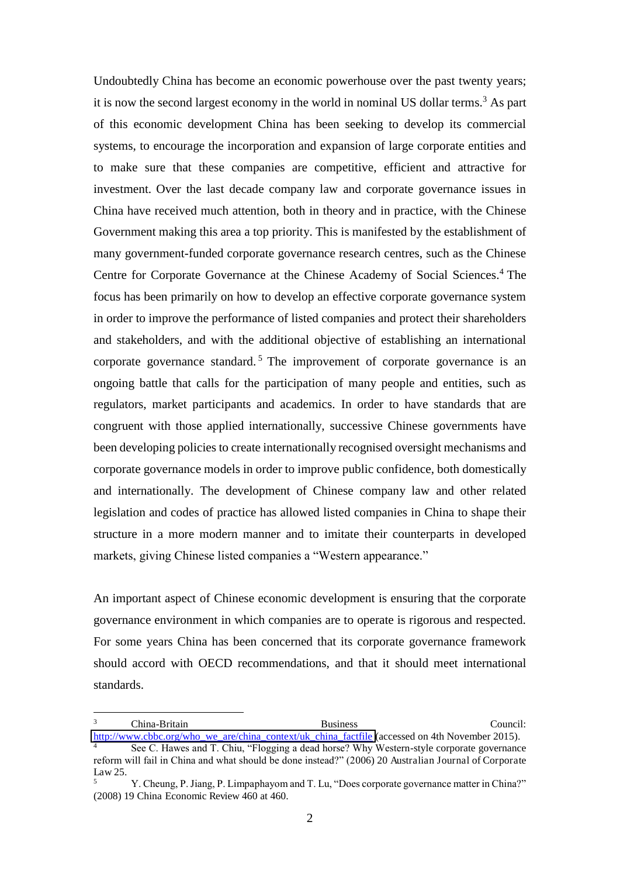Undoubtedly China has become an economic powerhouse over the past twenty years; it is now the second largest economy in the world in nominal US dollar terms.<sup>3</sup> As part of this economic development China has been seeking to develop its commercial systems, to encourage the incorporation and expansion of large corporate entities and to make sure that these companies are competitive, efficient and attractive for investment. Over the last decade company law and corporate governance issues in China have received much attention, both in theory and in practice, with the Chinese Government making this area a top priority. This is manifested by the establishment of many government-funded corporate governance research centres, such as the Chinese Centre for Corporate Governance at the Chinese Academy of Social Sciences.<sup>4</sup> The focus has been primarily on how to develop an effective corporate governance system in order to improve the performance of listed companies and protect their shareholders and stakeholders, and with the additional objective of establishing an international corporate governance standard.<sup>5</sup> The improvement of corporate governance is an ongoing battle that calls for the participation of many people and entities, such as regulators, market participants and academics. In order to have standards that are congruent with those applied internationally, successive Chinese governments have been developing policies to create internationally recognised oversight mechanisms and corporate governance models in order to improve public confidence, both domestically and internationally. The development of Chinese company law and other related legislation and codes of practice has allowed listed companies in China to shape their structure in a more modern manner and to imitate their counterparts in developed markets, giving Chinese listed companies a "Western appearance."

An important aspect of Chinese economic development is ensuring that the corporate governance environment in which companies are to operate is rigorous and respected. For some years China has been concerned that its corporate governance framework should accord with OECD recommendations, and that it should meet international standards.

 $\overline{a}$ 

Law 25.

<sup>3</sup> China-Britain Business Council: [http://www.cbbc.org/who\\_we\\_are/china\\_context/uk\\_china\\_factfile](http://www.cbbc.org/who_we_are/china_context/uk_china_factfile) (accessed on 4th November 2015). 4 See C. Hawes and T. Chiu, "Flogging a dead horse? Why Western-style corporate governance reform will fail in China and what should be done instead?" (2006) 20 Australian Journal of Corporate

<sup>5</sup> Y. Cheung, P. Jiang, P. Limpaphayom and T. Lu, "Does corporate governance matter in China?" (2008) 19 China Economic Review 460 at 460.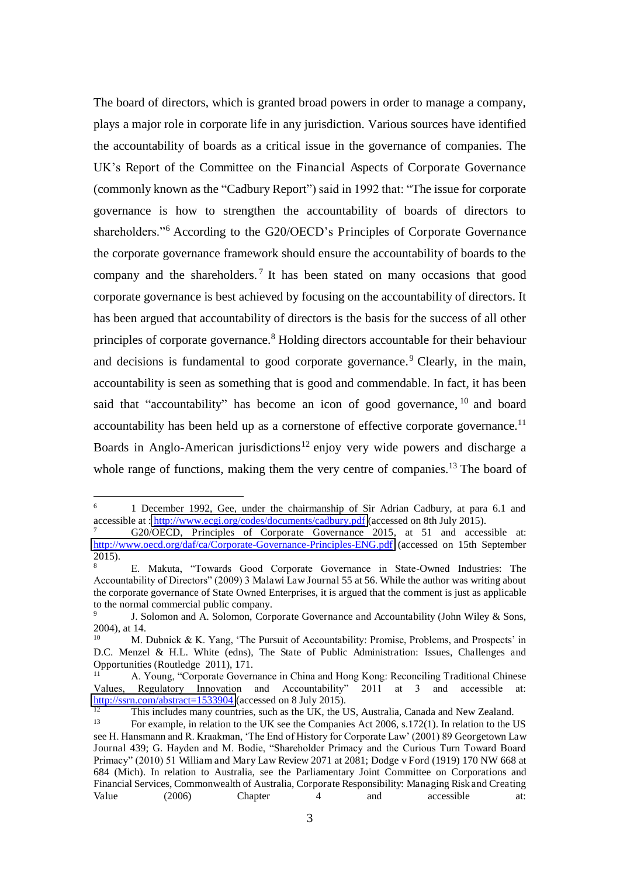The board of directors, which is granted broad powers in order to manage a company, plays a major role in corporate life in any jurisdiction. Various sources have identified the accountability of boards as a critical issue in the governance of companies. The UK's Report of the Committee on the Financial Aspects of Corporate Governance (commonly known as the "Cadbury Report") said in 1992 that: "The issue for corporate governance is how to strengthen the accountability of boards of directors to shareholders."<sup>6</sup> According to the G20/OECD's Principles of Corporate Governance the corporate governance framework should ensure the accountability of boards to the company and the shareholders.<sup>7</sup> It has been stated on many occasions that good corporate governance is best achieved by focusing on the accountability of directors. It has been argued that accountability of directors is the basis for the success of all other principles of corporate governance.<sup>8</sup> Holding directors accountable for their behaviour and decisions is fundamental to good corporate governance.<sup>9</sup> Clearly, in the main, accountability is seen as something that is good and commendable. In fact, it has been said that "accountability" has become an icon of good governance, <sup>10</sup> and board accountability has been held up as a cornerstone of effective corporate governance.<sup>11</sup> Boards in Anglo-American jurisdictions<sup>12</sup> enjoy very wide powers and discharge a whole range of functions, making them the very centre of companies.<sup>13</sup> The board of

 $\frac{1}{6}$  1 December 1992, Gee, under the chairmanship of Sir Adrian Cadbury, at para 6.1 and accessible at :<http://www.ecgi.org/codes/documents/cadbury.pdf>(accessed on 8th July 2015).

<sup>7</sup> G20/OECD, Principles of Corporate Governance 2015, at 51 and accessible at: <http://www.oecd.org/daf/ca/Corporate-Governance-Principles-ENG.pdf>(accessed on 15th September 2015).

<sup>8</sup> E. Makuta, "Towards Good Corporate Governance in State-Owned Industries: The Accountability of Directors" (2009) 3 Malawi Law Journal 55 at 56. While the author was writing about the corporate governance of State Owned Enterprises, it is argued that the comment is just as applicable to the normal commercial public company.

<sup>9</sup> J. Solomon and A. Solomon, Corporate Governance and Accountability (John Wiley & Sons, 2004), at 14.

<sup>10</sup>M. Dubnick & K. Yang, 'The Pursuit of Accountability: Promise, Problems, and Prospects' in D.C. Menzel & H.L. White (edns), The State of Public Administration: Issues, Challenges and Opportunities (Routledge 2011), 171.

<sup>11</sup> A. Young, "Corporate Governance in China and Hong Kong: Reconciling Traditional Chinese Regulatory Innovation and Accountability" 2011 at 3 and accessible at: Values, Regulatory Innovation and Accountability" <http://ssrn.com/abstract=1533904>(accessed on 8 July 2015).

This includes many countries, such as the UK, the US, Australia, Canada and New Zealand.

<sup>13</sup> For example, in relation to the UK see the Companies Act 2006, s.172(1). In relation to the US see H. Hansmann and R. Kraakman, 'The End of History for Corporate Law' (2001) 89 Georgetown Law Journal 439; G. Hayden and M. Bodie, "Shareholder Primacy and the Curious Turn Toward Board Primacy" (2010) 51 William and Mary Law Review 2071 at 2081; Dodge v Ford (1919) 170 NW 668 at 684 (Mich). In relation to Australia, see the Parliamentary Joint Committee on Corporations and Financial Services, Commonwealth of Australia, Corporate Responsibility: Managing Risk and Creating Value (2006) Chapter 4 and accessible at: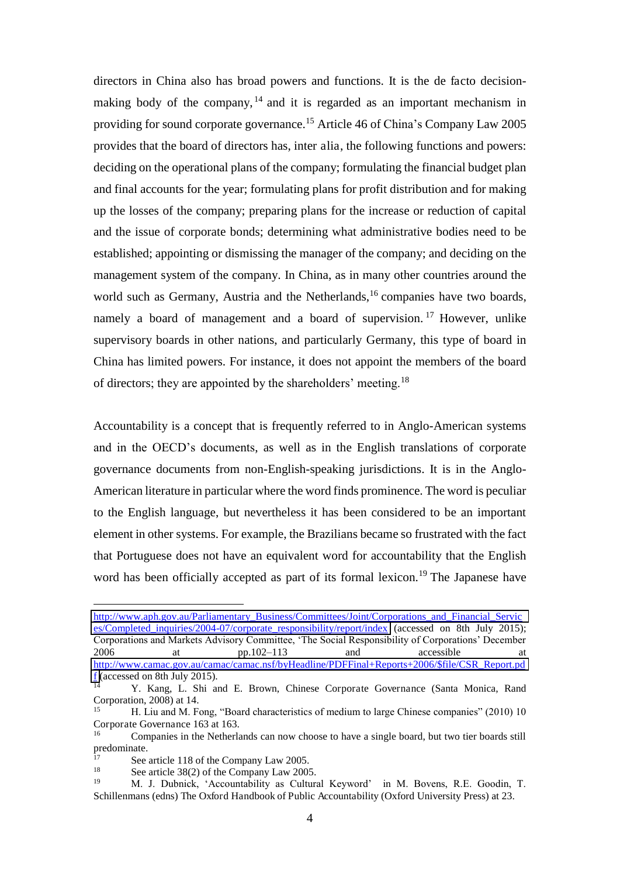directors in China also has broad powers and functions. It is the de facto decisionmaking body of the company,  $14$  and it is regarded as an important mechanism in providing for sound corporate governance.<sup>15</sup> Article 46 of China's Company Law 2005 provides that the board of directors has, inter alia, the following functions and powers: deciding on the operational plans of the company; formulating the financial budget plan and final accounts for the year; formulating plans for profit distribution and for making up the losses of the company; preparing plans for the increase or reduction of capital and the issue of corporate bonds; determining what administrative bodies need to be established; appointing or dismissing the manager of the company; and deciding on the management system of the company. In China, as in many other countries around the world such as Germany, Austria and the Netherlands,<sup>16</sup> companies have two boards, namely a board of management and a board of supervision.<sup>17</sup> However, unlike supervisory boards in other nations, and particularly Germany, this type of board in China has limited powers. For instance, it does not appoint the members of the board of directors; they are appointed by the shareholders' meeting.<sup>18</sup>

Accountability is a concept that is frequently referred to in Anglo-American systems and in the OECD's documents, as well as in the English translations of corporate governance documents from non-English-speaking jurisdictions. It is in the Anglo-American literature in particular where the word finds prominence. The word is peculiar to the English language, but nevertheless it has been considered to be an important element in other systems. For example, the Brazilians became so frustrated with the fact that Portuguese does not have an equivalent word for accountability that the English word has been officially accepted as part of its formal lexicon.<sup>19</sup> The Japanese have

[http://www.aph.gov.au/Parliamentary\\_Business/Committees/Joint/Corporations\\_and\\_Financial\\_Servic](http://www.aph.gov.au/Parliamentary_Business/Committees/Joint/Corporations_and_Financial_Services/Completed_inquiries/2004-07/corporate_responsibility/report/index) es/Completed inquiries/2004-07/corporate responsibility/report/index (accessed on 8th July 2015); Corporations and Markets Advisory Committee, 'The Social Responsibility of Corporations' December 2006 at pp.102–113 and accessible at [http://www.camac.gov.au/camac/camac.nsf/byHeadline/PDFFinal+Reports+2006/\\$file/CSR\\_Report.pd](http://www.camac.gov.au/camac/camac.nsf/byHeadline/PDFFinal+Reports+2006/$file/CSR_Report.pdf)  $\frac{f}{14}$  (accessed on 8th July 2015).

Y. Kang, L. Shi and E. Brown, Chinese Corporate Governance (Santa Monica, Rand Corporation, 2008) at 14.

<sup>15</sup> H. Liu and M. Fong, "Board characteristics of medium to large Chinese companies" (2010) 10 Corporate Governance 163 at 163.

<sup>16</sup> Companies in the Netherlands can now choose to have a single board, but two tier boards still predominate.

<sup>&</sup>lt;sup>17</sup> See article 118 of the Company Law 2005.

See article 38(2) of the Company Law 2005.

<sup>19</sup> M. J. Dubnick, 'Accountability as Cultural Keyword' in M. Bovens, R.E. Goodin, T. Schillenmans (edns) The Oxford Handbook of Public Accountability (Oxford University Press) at 23.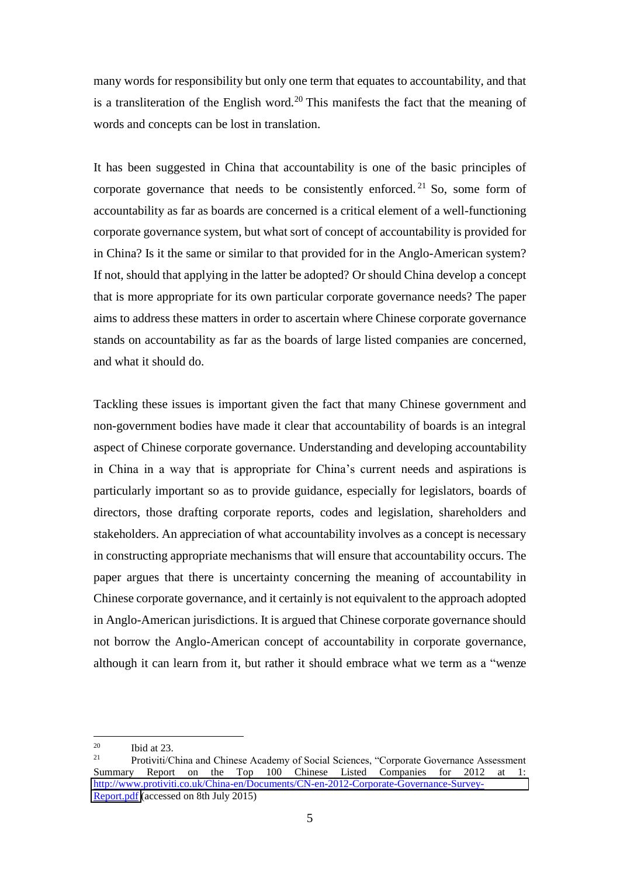many words for responsibility but only one term that equates to accountability, and that is a transliteration of the English word.<sup>20</sup> This manifests the fact that the meaning of words and concepts can be lost in translation.

It has been suggested in China that accountability is one of the basic principles of corporate governance that needs to be consistently enforced.<sup>21</sup> So, some form of accountability as far as boards are concerned is a critical element of a well-functioning corporate governance system, but what sort of concept of accountability is provided for in China? Is it the same or similar to that provided for in the Anglo-American system? If not, should that applying in the latter be adopted? Or should China develop a concept that is more appropriate for its own particular corporate governance needs? The paper aims to address these matters in order to ascertain where Chinese corporate governance stands on accountability as far as the boards of large listed companies are concerned, and what it should do.

Tackling these issues is important given the fact that many Chinese government and non-government bodies have made it clear that accountability of boards is an integral aspect of Chinese corporate governance. Understanding and developing accountability in China in a way that is appropriate for China's current needs and aspirations is particularly important so as to provide guidance, especially for legislators, boards of directors, those drafting corporate reports, codes and legislation, shareholders and stakeholders. An appreciation of what accountability involves as a concept is necessary in constructing appropriate mechanisms that will ensure that accountability occurs. The paper argues that there is uncertainty concerning the meaning of accountability in Chinese corporate governance, and it certainly is not equivalent to the approach adopted in Anglo-American jurisdictions. It is argued that Chinese corporate governance should not borrow the Anglo-American concept of accountability in corporate governance, although it can learn from it, but rather it should embrace what we term as a "wenze

 $20$  $\frac{20}{21}$  Ibid at 23.

<sup>21</sup> Protiviti/China and Chinese Academy of Social Sciences, "Corporate Governance Assessment Summary Report on the Top 100 Chinese Listed Companies for 2012 at 1: [http://www.protiviti.co.uk/China-en/Documents/CN-en-2012-Corporate-Governance-Survey-](http://www.protiviti.co.uk/China-en/Documents/CN-en-2012-Corporate-Governance-Survey-Report.pdf)[Report.pdf](http://www.protiviti.co.uk/China-en/Documents/CN-en-2012-Corporate-Governance-Survey-Report.pdf) (accessed on 8th July 2015)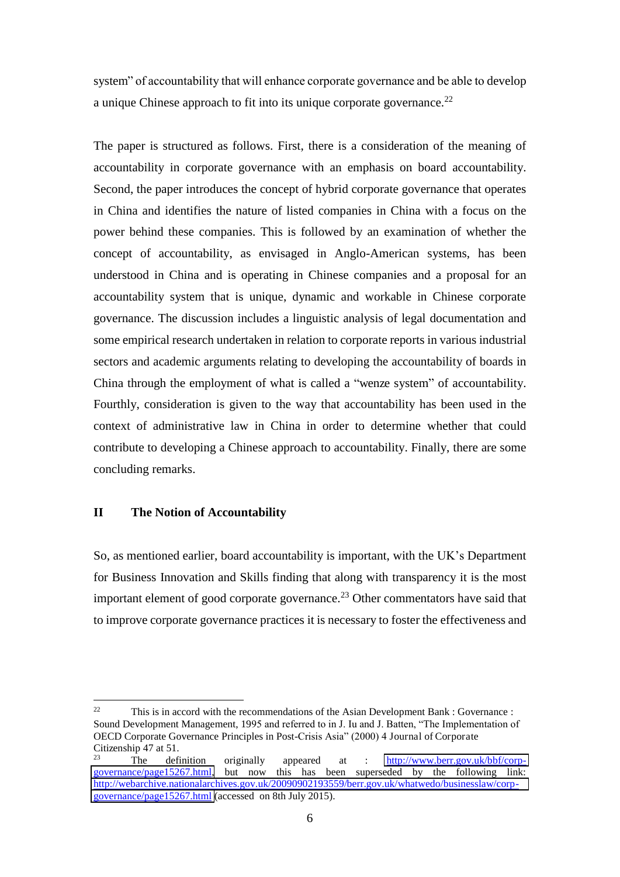system" of accountability that will enhance corporate governance and be able to develop a unique Chinese approach to fit into its unique corporate governance.<sup>22</sup>

The paper is structured as follows. First, there is a consideration of the meaning of accountability in corporate governance with an emphasis on board accountability. Second, the paper introduces the concept of hybrid corporate governance that operates in China and identifies the nature of listed companies in China with a focus on the power behind these companies. This is followed by an examination of whether the concept of accountability, as envisaged in Anglo-American systems, has been understood in China and is operating in Chinese companies and a proposal for an accountability system that is unique, dynamic and workable in Chinese corporate governance. The discussion includes a linguistic analysis of legal documentation and some empirical research undertaken in relation to corporate reports in various industrial sectors and academic arguments relating to developing the accountability of boards in China through the employment of what is called a "wenze system" of accountability. Fourthly, consideration is given to the way that accountability has been used in the context of administrative law in China in order to determine whether that could contribute to developing a Chinese approach to accountability. Finally, there are some concluding remarks.

#### **II The Notion of Accountability**

 $\overline{a}$ 

So, as mentioned earlier, board accountability is important, with the UK's Department for Business Innovation and Skills finding that along with transparency it is the most important element of good corporate governance.<sup>23</sup> Other commentators have said that to improve corporate governance practices it is necessary to foster the effectiveness and

<sup>&</sup>lt;sup>22</sup> This is in accord with the recommendations of the Asian Development Bank : Governance : Sound Development Management, 1995 and referred to in J. Iu and J. Batten, "The Implementation of OECD Corporate Governance Principles in Post-Crisis Asia" (2000) 4 Journal of Corporate Citizenship 47 at 51.

<sup>23</sup> The definition originally appeared at : [http://www.berr.gov.uk/bbf/corp](http://www.berr.gov.uk/bbf/corp-governance/page15267.html)[governance/page15267.html,](http://www.berr.gov.uk/bbf/corp-governance/page15267.html) but now this has been superseded by the following link: [http://webarchive.nationalarchives.gov.uk/20090902193559/berr.gov.uk/whatwedo/businesslaw/corp](http://webarchive.nationalarchives.gov.uk/20090902193559/berr.gov.uk/whatwedo/businesslaw/corp-governance/page15267.html)[governance/page15267.html \(](http://webarchive.nationalarchives.gov.uk/20090902193559/berr.gov.uk/whatwedo/businesslaw/corp-governance/page15267.html)accessed on 8th July 2015).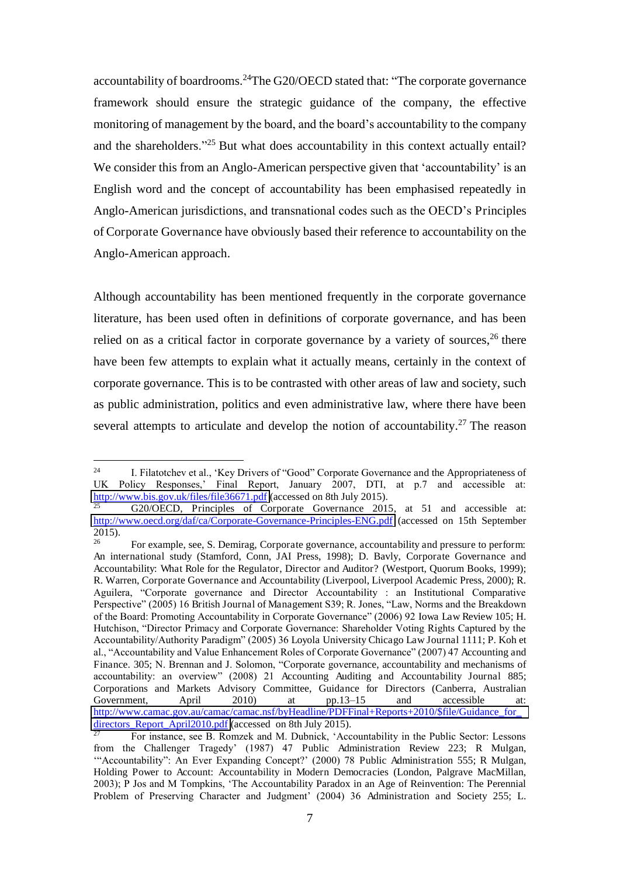accountability of boardrooms.<sup>24</sup>The G20/OECD stated that: "The corporate governance framework should ensure the strategic guidance of the company, the effective monitoring of management by the board, and the board's accountability to the company and the shareholders."<sup>25</sup> But what does accountability in this context actually entail? We consider this from an Anglo-American perspective given that 'accountability' is an English word and the concept of accountability has been emphasised repeatedly in Anglo-American jurisdictions, and transnational codes such as the OECD's Principles of Corporate Governance have obviously based their reference to accountability on the Anglo-American approach.

Although accountability has been mentioned frequently in the corporate governance literature, has been used often in definitions of corporate governance, and has been relied on as a critical factor in corporate governance by a variety of sources,  $26$  there have been few attempts to explain what it actually means, certainly in the context of corporate governance. This is to be contrasted with other areas of law and society, such as public administration, politics and even administrative law, where there have been several attempts to articulate and develop the notion of accountability.<sup>27</sup> The reason

<sup>24</sup> I. Filatotchev et al., 'Key Drivers of "Good" Corporate Governance and the Appropriateness of UK Policy Responses,' Final Report, January 2007, DTI, at p.7 and accessible at: <http://www.bis.gov.uk/files/file36671.pdf>(accessed on 8th July 2015).

 $\overline{25}$  G20/OECD, Principles of Corporate Governance 2015, at 51 and accessible at: <http://www.oecd.org/daf/ca/Corporate-Governance-Principles-ENG.pdf>(accessed on 15th September  $2015$ ).

For example, see, S. Demirag, Corporate governance, accountability and pressure to perform: An international study (Stamford, Conn, JAI Press, 1998); D. Bavly, Corporate Governance and Accountability: What Role for the Regulator, Director and Auditor? (Westport, Quorum Books, 1999); R. Warren, Corporate Governance and Accountability (Liverpool, Liverpool Academic Press, 2000); R. Aguilera, "Corporate governance and Director Accountability : an Institutional Comparative Perspective" (2005) 16 British Journal of Management S39; R. Jones, "Law, Norms and the Breakdown of the Board: Promoting Accountability in Corporate Governance" (2006) 92 Iowa Law Review 105; H. Hutchison, "Director Primacy and Corporate Governance: Shareholder Voting Rights Captured by the Accountability/Authority Paradigm" (2005) 36 Loyola University Chicago Law Journal 1111; P. Koh et al., "Accountability and Value Enhancement Roles of Corporate Governance" (2007) 47 Accounting and Finance. 305; N. Brennan and J. Solomon, "Corporate governance, accountability and mechanisms of accountability: an overview" (2008) 21 Accounting Auditing and Accountability Journal 885; Corporations and Markets Advisory Committee, Guidance for Directors (Canberra, Australian Government, April 2010) at pp.13–15 and accessible at: http://www.camac.gov.au/camac/camac.nsf/byHeadline/PDFFinal+Reports+2010/\$file/Guidance\_for directors Report April2010.pdf (accessed on 8th July 2015).

<sup>27</sup> For instance, see B. Romzek and M. Dubnick, 'Accountability in the Public Sector: Lessons from the Challenger Tragedy' (1987) 47 Public Administration Review 223; R Mulgan, '"Accountability": An Ever Expanding Concept?' (2000) 78 Public Administration 555; R Mulgan, Holding Power to Account: Accountability in Modern Democracies (London, Palgrave MacMillan, 2003); P Jos and M Tompkins, 'The Accountability Paradox in an Age of Reinvention: The Perennial Problem of Preserving Character and Judgment' (2004) 36 Administration and Society 255; L.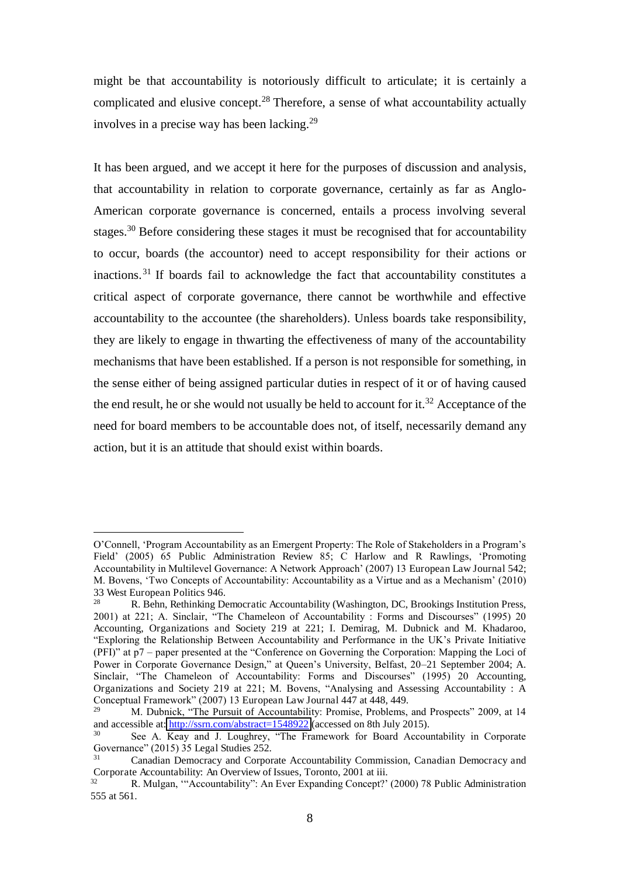might be that accountability is notoriously difficult to articulate; it is certainly a complicated and elusive concept.<sup>28</sup> Therefore, a sense of what accountability actually involves in a precise way has been lacking.<sup>29</sup>

It has been argued, and we accept it here for the purposes of discussion and analysis, that accountability in relation to corporate governance, certainly as far as Anglo-American corporate governance is concerned, entails a process involving several stages.<sup>30</sup> Before considering these stages it must be recognised that for accountability to occur, boards (the accountor) need to accept responsibility for their actions or inactions.<sup>31</sup> If boards fail to acknowledge the fact that accountability constitutes a critical aspect of corporate governance, there cannot be worthwhile and effective accountability to the accountee (the shareholders). Unless boards take responsibility, they are likely to engage in thwarting the effectiveness of many of the accountability mechanisms that have been established. If a person is not responsible for something, in the sense either of being assigned particular duties in respect of it or of having caused the end result, he or she would not usually be held to account for it.<sup>32</sup> Acceptance of the need for board members to be accountable does not, of itself, necessarily demand any action, but it is an attitude that should exist within boards.

O'Connell, 'Program Accountability as an Emergent Property: The Role of Stakeholders in a Program's Field' (2005) 65 Public Administration Review 85; C Harlow and R Rawlings, 'Promoting Accountability in Multilevel Governance: A Network Approach' (2007) 13 European Law Journal 542; M. Bovens, 'Two Concepts of Accountability: Accountability as a Virtue and as a Mechanism' (2010) 33 West European Politics 946.<br> $\frac{28}{P}$  Roby Pothinking De

<sup>28</sup> R. Behn, Rethinking Democratic Accountability (Washington, DC, Brookings Institution Press, 2001) at 221; A. Sinclair, "The Chameleon of Accountability : Forms and Discourses" (1995) 20 Accounting, Organizations and Society 219 at 221; I. Demirag, M. Dubnick and M. Khadaroo, "Exploring the Relationship Between Accountability and Performance in the UK's Private Initiative (PFI)" at p7 – paper presented at the "Conference on Governing the Corporation: Mapping the Loci of Power in Corporate Governance Design," at Queen's University, Belfast, 20–21 September 2004; A. Sinclair, "The Chameleon of Accountability: Forms and Discourses" (1995) 20 Accounting, Organizations and Society 219 at 221; M. Bovens, "Analysing and Assessing Accountability : A Conceptual Framework" (2007) 13 European Law Journal 447 at 448, 449.

<sup>29</sup> M. Dubnick, "The Pursuit of Accountability: Promise, Problems, and Prospects" 2009, at 14 and accessible at:<http://ssrn.com/abstract=1548922>(accessed on 8th July 2015).

<sup>30</sup> See A. Keay and J. Loughrey, "The Framework for Board Accountability in Corporate Governance" (2015) 35 Legal Studies 252.

Canadian Democracy and Corporate Accountability Commission, Canadian Democracy and Corporate Accountability: An Overview of Issues, Toronto, 2001 at iii.

<sup>32</sup> R. Mulgan, '"Accountability": An Ever Expanding Concept?' (2000) 78 Public Administration 555 at 561.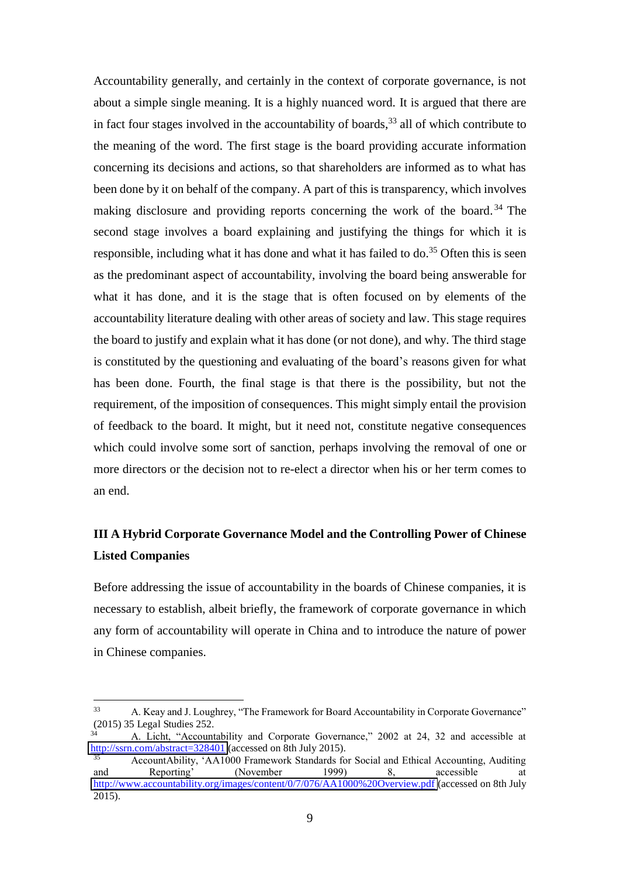Accountability generally, and certainly in the context of corporate governance, is not about a simple single meaning. It is a highly nuanced word. It is argued that there are in fact four stages involved in the accountability of boards,  $33$  all of which contribute to the meaning of the word. The first stage is the board providing accurate information concerning its decisions and actions, so that shareholders are informed as to what has been done by it on behalf of the company. A part of this is transparency, which involves making disclosure and providing reports concerning the work of the board.<sup>34</sup> The second stage involves a board explaining and justifying the things for which it is responsible, including what it has done and what it has failed to do.<sup>35</sup> Often this is seen as the predominant aspect of accountability, involving the board being answerable for what it has done, and it is the stage that is often focused on by elements of the accountability literature dealing with other areas of society and law. This stage requires the board to justify and explain what it has done (or not done), and why. The third stage is constituted by the questioning and evaluating of the board's reasons given for what has been done. Fourth, the final stage is that there is the possibility, but not the requirement, of the imposition of consequences. This might simply entail the provision of feedback to the board. It might, but it need not, constitute negative consequences which could involve some sort of sanction, perhaps involving the removal of one or more directors or the decision not to re-elect a director when his or her term comes to an end.

## **III A Hybrid Corporate Governance Model and the Controlling Power of Chinese Listed Companies**

Before addressing the issue of accountability in the boards of Chinese companies, it is necessary to establish, albeit briefly, the framework of corporate governance in which any form of accountability will operate in China and to introduce the nature of power in Chinese companies.

<sup>33</sup> A. Keay and J. Loughrey, "The Framework for Board Accountability in Corporate Governance" (2015) 35 Legal Studies 252.

 $\overrightarrow{34}$  A. Licht, "Accountability and Corporate Governance," 2002 at 24, 32 and accessible at <http://ssrn.com/abstract=328401>(accessed on 8th July 2015).

<sup>35</sup> AccountAbility, 'AA1000 Framework Standards for Social and Ethical Accounting, Auditing and Reporting' (November 1999) 8, accessible at <http://www.accountability.org/images/content/0/7/076/AA1000%20Overview.pdf>(accessed on 8th July 2015).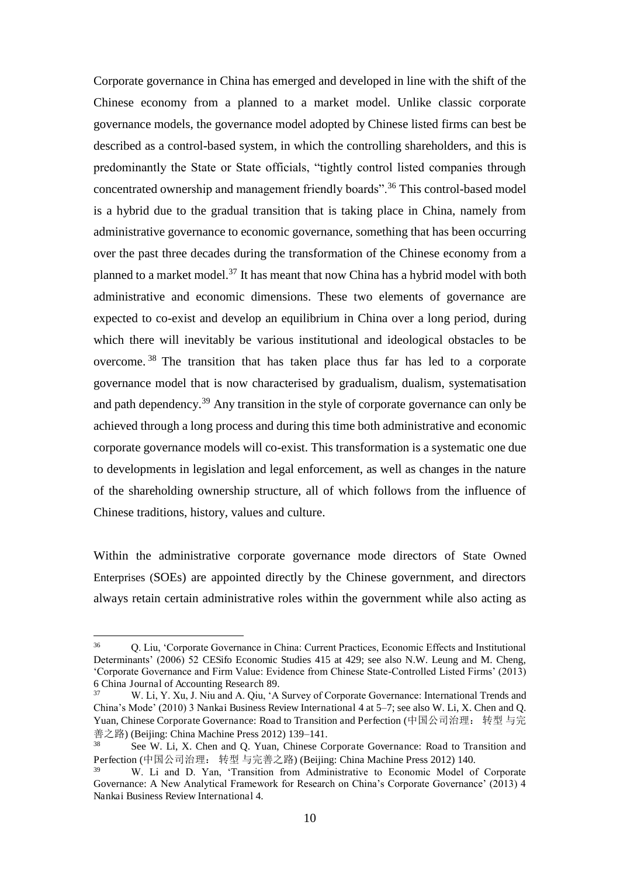Corporate governance in China has emerged and developed in line with the shift of the Chinese economy from a planned to a market model. Unlike classic corporate governance models, the governance model adopted by Chinese listed firms can best be described as a control-based system, in which the controlling shareholders, and this is predominantly the State or State officials, "tightly control listed companies through concentrated ownership and management friendly boards".<sup>36</sup> This control-based model is a hybrid due to the gradual transition that is taking place in China, namely from administrative governance to economic governance, something that has been occurring over the past three decades during the transformation of the Chinese economy from a planned to a market model.<sup>37</sup> It has meant that now China has a hybrid model with both administrative and economic dimensions. These two elements of governance are expected to co-exist and develop an equilibrium in China over a long period, during which there will inevitably be various institutional and ideological obstacles to be overcome. <sup>38</sup> The transition that has taken place thus far has led to a corporate governance model that is now characterised by gradualism, dualism, systematisation and path dependency.<sup>39</sup> Any transition in the style of corporate governance can only be achieved through a long process and during this time both administrative and economic corporate governance models will co-exist. This transformation is a systematic one due to developments in legislation and legal enforcement, as well as changes in the nature of the shareholding ownership structure, all of which follows from the influence of Chinese traditions, history, values and culture.

Within the administrative corporate governance mode directors of State Owned Enterprises (SOEs) are appointed directly by the Chinese government, and directors always retain certain administrative roles within the government while also acting as

 36 Q. Liu, 'Corporate Governance in China: Current Practices, Economic Effects and Institutional Determinants' (2006) 52 CESifo Economic Studies 415 at 429; see also N.W. Leung and M. Cheng, 'Corporate Governance and Firm Value: Evidence from Chinese State-Controlled Listed Firms' (2013) 6 China Journal of Accounting Research 89.

<sup>37</sup> W. Li, Y. Xu, J. Niu and A. Qiu, 'A Survey of Corporate Governance: International Trends and China's Mode' (2010) 3 Nankai Business Review International 4 at 5–7; see also W. Li, X. Chen and Q. Yuan, Chinese Corporate Governance: Road to Transition and Perfection (中国公司治理: 转型 与完  $\hat{\mathbb{R}}$   $\geq$   $\mathbb{R}$  (Beijing: China Machine Press 2012) 139–141.

See W. Li, X. Chen and Q. Yuan, Chinese Corporate Governance: Road to Transition and Perfection (中国公司治理: 转型 与完善之路) (Beijing: China Machine Press 2012) 140.

<sup>39</sup> W. Li and D. Yan, 'Transition from Administrative to Economic Model of Corporate Governance: A New Analytical Framework for Research on China's Corporate Governance' (2013) 4 Nankai Business Review International 4.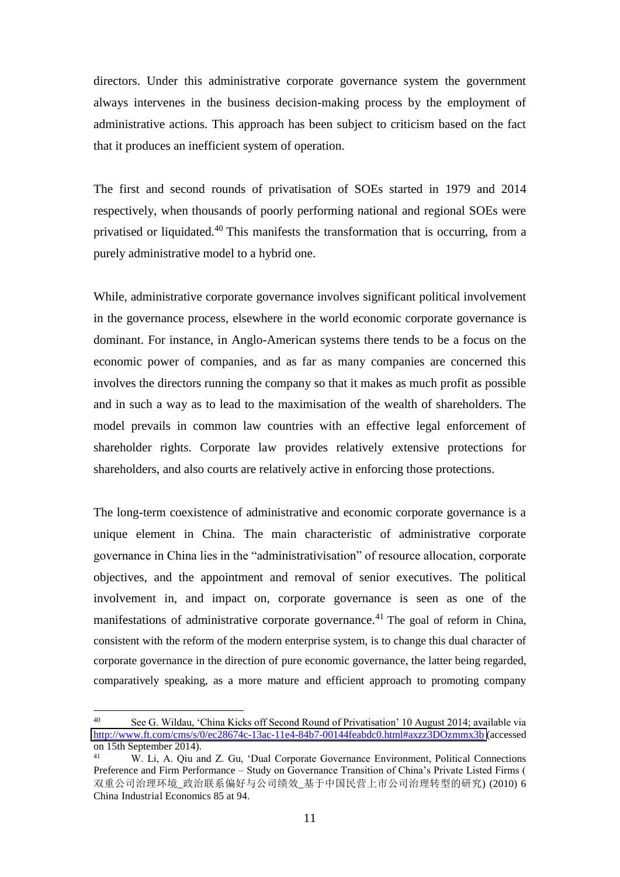directors. Under this administrative corporate governance system the government always intervenes in the business decision-making process by the employment of administrative actions. This approach has been subject to criticism based on the fact that it produces an inefficient system of operation.

The first and second rounds of privatisation of SOEs started in 1979 and 2014 respectively, when thousands of poorly performing national and regional SOEs were privatised or liquidated.<sup>40</sup> This manifests the transformation that is occurring, from a purely administrative model to a hybrid one.

While, administrative corporate governance involves significant political involvement in the governance process, elsewhere in the world economic corporate governance is dominant. For instance, in Anglo-American systems there tends to be a focus on the economic power of companies, and as far as many companies are concerned this involves the directors running the company so that it makes as much profit as possible and in such a way as to lead to the maximisation of the wealth of shareholders. The model prevails in common law countries with an effective legal enforcement of shareholder rights. Corporate law provides relatively extensive protections for shareholders, and also courts are relatively active in enforcing those protections.

The long-term coexistence of administrative and economic corporate governance is a unique element in China. The main characteristic of administrative corporate governance in China lies in the "administrativisation" of resource allocation, corporate objectives, and the appointment and removal of senior executives. The political involvement in, and impact on, corporate governance is seen as one of the manifestations of administrative corporate governance.<sup>41</sup> The goal of reform in China, consistent with the reform of the modern enterprise system, is to change this dual character of corporate governance in the direction of pure economic governance, the latter being regarded, comparatively speaking, as a more mature and efficient approach to promoting company

<sup>40</sup> See G. Wildau, 'China Kicks off Second Round of Privatisation' 10 August 2014; available via <http://www.ft.com/cms/s/0/ec28674c-13ac-11e4-84b7-00144feabdc0.html#axzz3DOzmmx3b>(accessed on 15th September 2014).

<sup>41</sup> W. Li, A. Qiu and Z. Gu, 'Dual Corporate Governance Environment, Political Connections Preference and Firm Performance – Study on Governance Transition of China's Private Listed Firms ( 双重公司治理环境 政治联系偏好与公司绩效 基于中国民营上市公司治理转型的研究) (2010) 6 China Industrial Economics 85 at 94.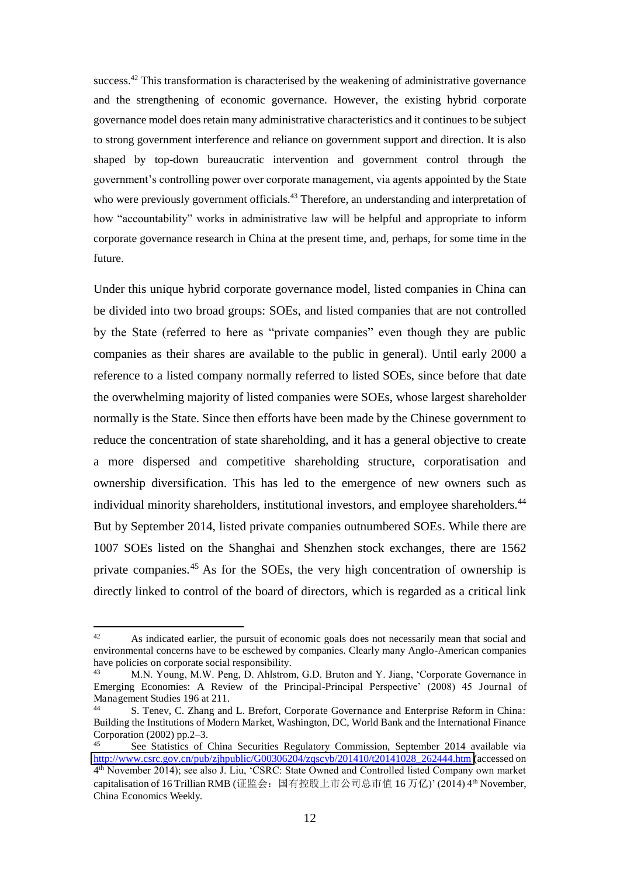success.<sup>42</sup> This transformation is characterised by the weakening of administrative governance and the strengthening of economic governance. However, the existing hybrid corporate governance model does retain many administrative characteristics and it continues to be subject to strong government interference and reliance on government support and direction. It is also shaped by top-down bureaucratic intervention and government control through the government's controlling power over corporate management, via agents appointed by the State who were previously government officials.<sup>43</sup> Therefore, an understanding and interpretation of how "accountability" works in administrative law will be helpful and appropriate to inform corporate governance research in China at the present time, and, perhaps, for some time in the future.

Under this unique hybrid corporate governance model, listed companies in China can be divided into two broad groups: SOEs, and listed companies that are not controlled by the State (referred to here as "private companies" even though they are public companies as their shares are available to the public in general). Until early 2000 a reference to a listed company normally referred to listed SOEs, since before that date the overwhelming majority of listed companies were SOEs, whose largest shareholder normally is the State. Since then efforts have been made by the Chinese government to reduce the concentration of state shareholding, and it has a general objective to create a more dispersed and competitive shareholding structure, corporatisation and ownership diversification. This has led to the emergence of new owners such as individual minority shareholders, institutional investors, and employee shareholders.<sup>44</sup> But by September 2014, listed private companies outnumbered SOEs. While there are 1007 SOEs listed on the Shanghai and Shenzhen stock exchanges, there are 1562 private companies.<sup>45</sup> As for the SOEs, the very high concentration of ownership is directly linked to control of the board of directors, which is regarded as a critical link

<sup>42</sup> <sup>42</sup> As indicated earlier, the pursuit of economic goals does not necessarily mean that social and environmental concerns have to be eschewed by companies. Clearly many Anglo-American companies have policies on corporate social responsibility.

<sup>43</sup> M.N. Young, M.W. Peng, D. Ahlstrom, G.D. Bruton and Y. Jiang, 'Corporate Governance in Emerging Economies: A Review of the Principal-Principal Perspective' (2008) 45 Journal of Management Studies 196 at 211.

<sup>5.</sup> Tenev, C. Zhang and L. Brefort, Corporate Governance and Enterprise Reform in China: Building the Institutions of Modern Market, Washington, DC, World Bank and the International Finance Corporation (2002) pp.2–3.

See Statistics of China Securities Regulatory Commission, September 2014 available via [http://www.csrc.gov.cn/pub/zjhpublic/G00306204/zqscyb/201410/t20141028\\_262444.htm \(](http://www.csrc.gov.cn/pub/zjhpublic/G00306204/zqscyb/201410/t20141028_262444.htm)accessed on 4 th November 2014); see also J. Liu, 'CSRC: State Owned and Controlled listed Company own market capitalisation of 16 Trillian RMB (证监会: 国有控股上市公司总市值 16 万亿)' (2014) 4<sup>th</sup> November, China Economics Weekly.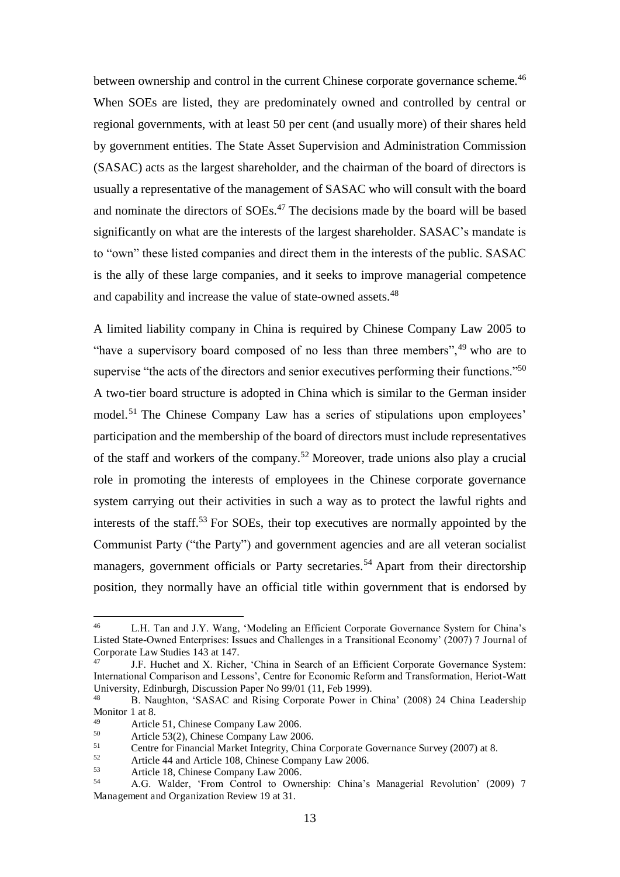between ownership and control in the current Chinese corporate governance scheme.<sup>46</sup> When SOEs are listed, they are predominately owned and controlled by central or regional governments, with at least 50 per cent (and usually more) of their shares held by government entities. The State Asset Supervision and Administration Commission (SASAC) acts as the largest shareholder, and the chairman of the board of directors is usually a representative of the management of SASAC who will consult with the board and nominate the directors of SOEs.<sup>47</sup> The decisions made by the board will be based significantly on what are the interests of the largest shareholder. SASAC's mandate is to "own" these listed companies and direct them in the interests of the public. SASAC is the ally of these large companies, and it seeks to improve managerial competence and capability and increase the value of state-owned assets.<sup>48</sup>

A limited liability company in China is required by Chinese Company Law 2005 to "have a supervisory board composed of no less than three members",  $49$  who are to supervise "the acts of the directors and senior executives performing their functions."<sup>50</sup> A two-tier board structure is adopted in China which is similar to the German insider model.<sup>51</sup> The Chinese Company Law has a series of stipulations upon employees' participation and the membership of the board of directors must include representatives of the staff and workers of the company.<sup>52</sup> Moreover, trade unions also play a crucial role in promoting the interests of employees in the Chinese corporate governance system carrying out their activities in such a way as to protect the lawful rights and interests of the staff.<sup>53</sup> For SOEs, their top executives are normally appointed by the Communist Party ("the Party") and government agencies and are all veteran socialist managers, government officials or Party secretaries.<sup>54</sup> Apart from their directorship position, they normally have an official title within government that is endorsed by

<sup>46</sup> L.H. Tan and J.Y. Wang, 'Modeling an Efficient Corporate Governance System for China's Listed State-Owned Enterprises: Issues and Challenges in a Transitional Economy' (2007) 7 Journal of Corporate Law Studies 143 at 147.<br><sup>47</sup> LE Huchet and X. Richer

J.F. Huchet and X. Richer, 'China in Search of an Efficient Corporate Governance System: International Comparison and Lessons', Centre for Economic Reform and Transformation, Heriot-Watt University, Edinburgh, Discussion Paper No 99/01 (11, Feb 1999).

<sup>48</sup> B. Naughton, 'SASAC and Rising Corporate Power in China' (2008) 24 China Leadership Monitor 1 at 8.

<sup>&</sup>lt;sup>49</sup> Article 51, Chinese Company Law 2006.<br>50 Article 53(2) Chinese Company Law 200

 $50$  Article 53(2), Chinese Company Law 2006.

<sup>&</sup>lt;sup>51</sup> Centre for Financial Market Integrity, China Corporate Governance Survey (2007) at 8.<br><sup>52</sup> Article 44 and Article 108 Chinase Gouverney Law 2006

 $52$  Article 44 and Article 108, Chinese Company Law 2006.

<sup>53</sup> Article 18, Chinese Company Law 2006.

<sup>54</sup> A.G. Walder, 'From Control to Ownership: China's Managerial Revolution' (2009) 7 Management and Organization Review 19 at 31.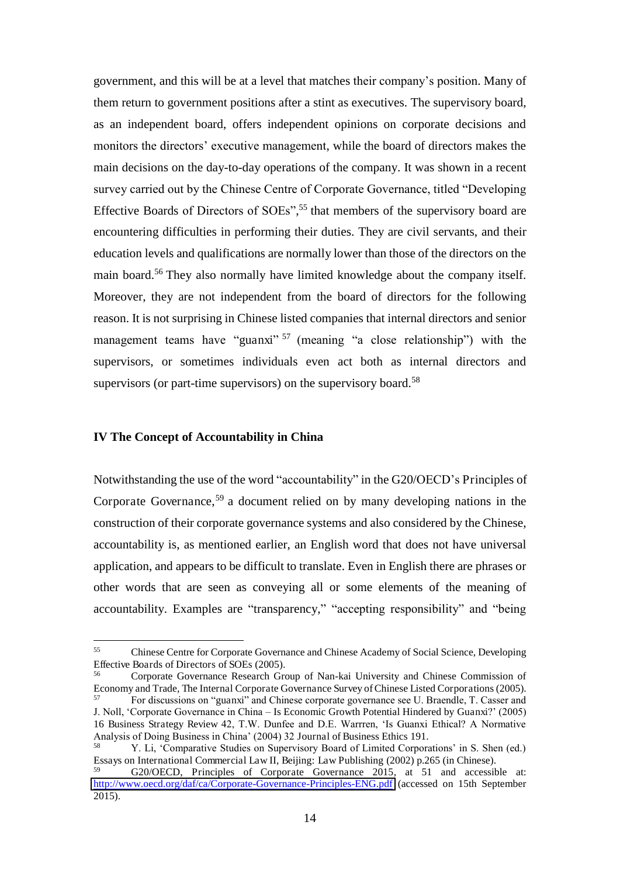government, and this will be at a level that matches their company's position. Many of them return to government positions after a stint as executives. The supervisory board, as an independent board, offers independent opinions on corporate decisions and monitors the directors' executive management, while the board of directors makes the main decisions on the day-to-day operations of the company. It was shown in a recent survey carried out by the Chinese Centre of Corporate Governance, titled "Developing Effective Boards of Directors of SOEs", <sup>55</sup> that members of the supervisory board are encountering difficulties in performing their duties. They are civil servants, and their education levels and qualifications are normally lower than those of the directors on the main board.<sup>56</sup> They also normally have limited knowledge about the company itself. Moreover, they are not independent from the board of directors for the following reason. It is not surprising in Chinese listed companies that internal directors and senior management teams have "guanxi"<sup>57</sup> (meaning "a close relationship") with the supervisors, or sometimes individuals even act both as internal directors and supervisors (or part-time supervisors) on the supervisory board.<sup>58</sup>

#### **IV The Concept of Accountability in China**

 $\overline{a}$ 

Notwithstanding the use of the word "accountability" in the G20/OECD's Principles of Corporate Governance,<sup>59</sup> a document relied on by many developing nations in the construction of their corporate governance systems and also considered by the Chinese, accountability is, as mentioned earlier, an English word that does not have universal application, and appears to be difficult to translate. Even in English there are phrases or other words that are seen as conveying all or some elements of the meaning of accountability. Examples are "transparency," "accepting responsibility" and "being

<sup>55</sup> Chinese Centre for Corporate Governance and Chinese Academy of Social Science, Developing Effective Boards of Directors of SOEs (2005).

<sup>56</sup> Corporate Governance Research Group of Nan-kai University and Chinese Commission of Economy and Trade, The Internal Corporate Governance Survey of Chinese Listed Corporations (2005). 57 For discussions on "guanxi" and Chinese corporate governance see U. Braendle, T. Casser and J. Noll, 'Corporate Governance in China – Is Economic Growth Potential Hindered by Guanxi?' (2005) 16 Business Strategy Review 42, T.W. Dunfee and D.E. Warrren, 'Is Guanxi Ethical? A Normative Analysis of Doing Business in China' (2004) 32 Journal of Business Ethics 191.

<sup>58</sup> Y. Li, 'Comparative Studies on Supervisory Board of Limited Corporations' in S. Shen (ed.) Essays on International Commercial Law II, Beijing: Law Publishing (2002) p.265 (in Chinese).

<sup>59</sup> G20/OECD, Principles of Corporate Governance 2015, at 51 and accessible at: <http://www.oecd.org/daf/ca/Corporate-Governance-Principles-ENG.pdf>(accessed on 15th September 2015).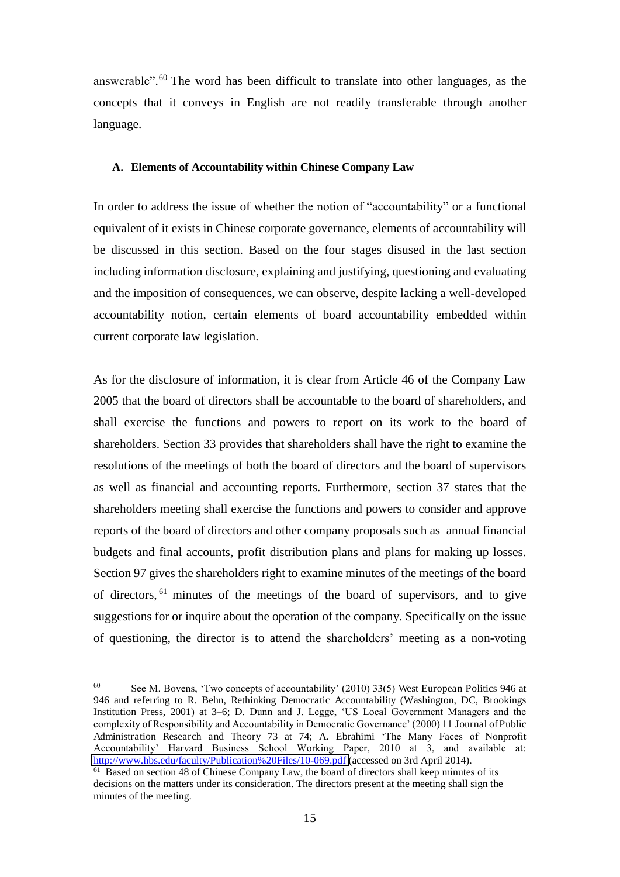answerable". <sup>60</sup> The word has been difficult to translate into other languages, as the concepts that it conveys in English are not readily transferable through another language.

#### **A. Elements of Accountability within Chinese Company Law**

In order to address the issue of whether the notion of "accountability" or a functional equivalent of it exists in Chinese corporate governance, elements of accountability will be discussed in this section. Based on the four stages disused in the last section including information disclosure, explaining and justifying, questioning and evaluating and the imposition of consequences, we can observe, despite lacking a well-developed accountability notion, certain elements of board accountability embedded within current corporate law legislation.

As for the disclosure of information, it is clear from Article 46 of the Company Law 2005 that the board of directors shall be accountable to the board of shareholders, and shall exercise the functions and powers to report on its work to the board of shareholders. Section 33 provides that shareholders shall have the right to examine the resolutions of the meetings of both the board of directors and the board of supervisors as well as financial and accounting reports. Furthermore, section 37 states that the shareholders meeting shall exercise the functions and powers to consider and approve reports of the board of directors and other company proposals such as annual financial budgets and final accounts, profit distribution plans and plans for making up losses. Section 97 gives the shareholders right to examine minutes of the meetings of the board of directors, <sup>61</sup> minutes of the meetings of the board of supervisors, and to give suggestions for or inquire about the operation of the company. Specifically on the issue of questioning, the director is to attend the shareholders' meeting as a non-voting

 60 See M. Bovens, 'Two concepts of accountability' (2010) 33(5) West European Politics 946 at 946 and referring to R. Behn, Rethinking Democratic Accountability (Washington, DC, Brookings Institution Press, 2001) at 3–6; D. Dunn and J. Legge, 'US Local Government Managers and the complexity of Responsibility and Accountability in Democratic Governance' (2000) 11 Journal of Public Administration Research and Theory 73 at 74; A. Ebrahimi 'The Many Faces of Nonprofit Accountability' Harvard Business School Working Paper, 2010 at 3, and available at: [http://www.hbs.edu/faculty/Publication%20Files/10-069.pdf \(](http://www.hbs.edu/faculty/Publication%20Files/10-069.pdf)accessed on 3rd April 2014).

<sup>&</sup>lt;sup>61</sup> Based on section 48 of Chinese Company Law, the board of directors shall keep minutes of its decisions on the matters under its consideration. The directors present at the meeting shall sign the minutes of the meeting.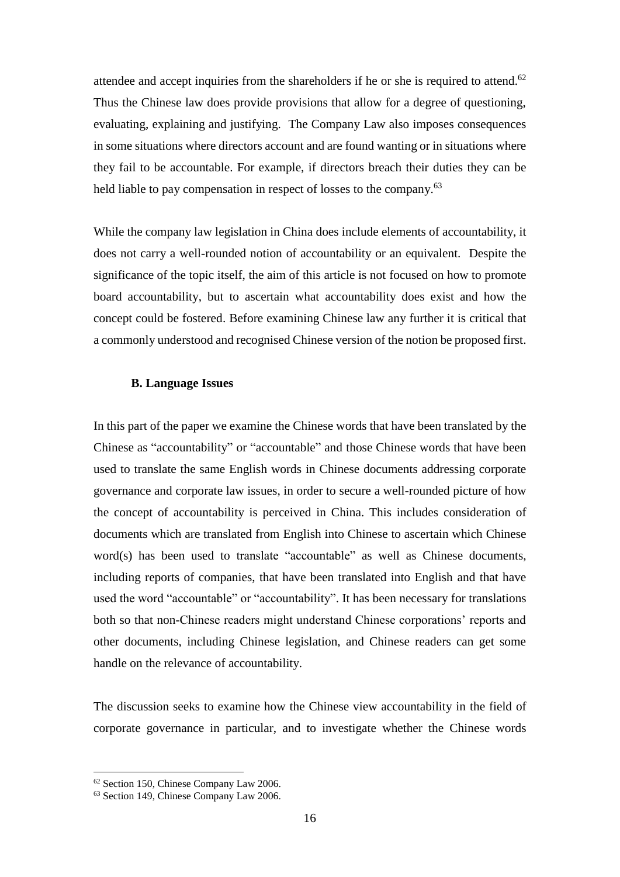attendee and accept inquiries from the shareholders if he or she is required to attend.<sup>62</sup> Thus the Chinese law does provide provisions that allow for a degree of questioning, evaluating, explaining and justifying. The Company Law also imposes consequences in some situations where directors account and are found wanting or in situations where they fail to be accountable. For example, if directors breach their duties they can be held liable to pay compensation in respect of losses to the company.<sup>63</sup>

While the company law legislation in China does include elements of accountability, it does not carry a well-rounded notion of accountability or an equivalent. Despite the significance of the topic itself, the aim of this article is not focused on how to promote board accountability, but to ascertain what accountability does exist and how the concept could be fostered. Before examining Chinese law any further it is critical that a commonly understood and recognised Chinese version of the notion be proposed first.

#### **B. Language Issues**

In this part of the paper we examine the Chinese words that have been translated by the Chinese as "accountability" or "accountable" and those Chinese words that have been used to translate the same English words in Chinese documents addressing corporate governance and corporate law issues, in order to secure a well-rounded picture of how the concept of accountability is perceived in China. This includes consideration of documents which are translated from English into Chinese to ascertain which Chinese word(s) has been used to translate "accountable" as well as Chinese documents, including reports of companies, that have been translated into English and that have used the word "accountable" or "accountability". It has been necessary for translations both so that non-Chinese readers might understand Chinese corporations' reports and other documents, including Chinese legislation, and Chinese readers can get some handle on the relevance of accountability.

The discussion seeks to examine how the Chinese view accountability in the field of corporate governance in particular, and to investigate whether the Chinese words

<sup>62</sup> Section 150, Chinese Company Law 2006.

<sup>63</sup> Section 149, Chinese Company Law 2006.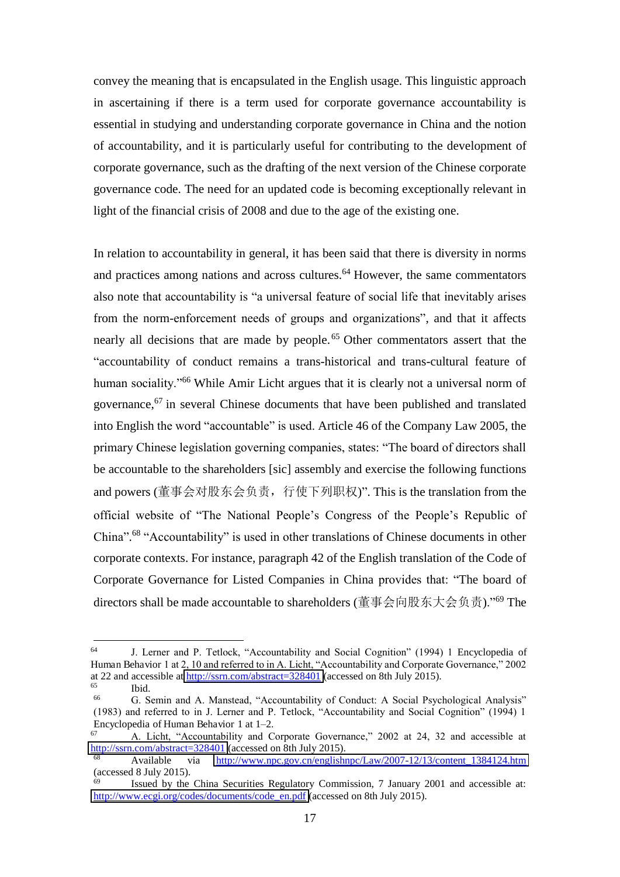convey the meaning that is encapsulated in the English usage. This linguistic approach in ascertaining if there is a term used for corporate governance accountability is essential in studying and understanding corporate governance in China and the notion of accountability, and it is particularly useful for contributing to the development of corporate governance, such as the drafting of the next version of the Chinese corporate governance code. The need for an updated code is becoming exceptionally relevant in light of the financial crisis of 2008 and due to the age of the existing one.

In relation to accountability in general, it has been said that there is diversity in norms and practices among nations and across cultures.<sup>64</sup> However, the same commentators also note that accountability is "a universal feature of social life that inevitably arises from the norm-enforcement needs of groups and organizations", and that it affects nearly all decisions that are made by people. <sup>65</sup> Other commentators assert that the "accountability of conduct remains a trans-historical and trans-cultural feature of human sociality."<sup>66</sup> While Amir Licht argues that it is clearly not a universal norm of governance,  $67$  in several Chinese documents that have been published and translated into English the word "accountable" is used. Article 46 of the Company Law 2005, the primary Chinese legislation governing companies, states: "The board of directors shall be accountable to the shareholders [sic] assembly and exercise the following functions and powers (董事会对股东会负责, 行使下列职权)". This is the translation from the official website of "The National People's Congress of the People's Republic of China". <sup>68</sup> "Accountability" is used in other translations of Chinese documents in other corporate contexts. For instance, paragraph 42 of the English translation of the Code of Corporate Governance for Listed Companies in China provides that: "The board of directors shall be made accountable to shareholders (董事会向股东大会负责)."<sup>69</sup> The

<sup>64</sup> J. Lerner and P. Tetlock, "Accountability and Social Cognition" (1994) 1 Encyclopedia of Human Behavior 1 at 2, 10 and referred to in A. Licht, "Accountability and Corporate Governance," 2002 at 22 and accessible at  $\frac{http://ssrn.com/abstract=328401}{http://ssrn.com/abstract=328401}$  (accessed on 8th July 2015). Ibid.

<sup>66</sup> G. Semin and A. Manstead, "Accountability of Conduct: A Social Psychological Analysis" (1983) and referred to in J. Lerner and P. Tetlock, "Accountability and Social Cognition" (1994) 1 Encyclopedia of Human Behavior 1 at 1–2.

<sup>67</sup> A. Licht, "Accountability and Corporate Governance," 2002 at 24, 32 and accessible at <http://ssrn.com/abstract=328401>(accessed on 8th July 2015).

<sup>68</sup> Available via [http://www.npc.gov.cn/englishnpc/Law/2007-12/13/content\\_1384124.htm](http://www.npc.gov.cn/englishnpc/Law/2007-12/13/content_1384124.htm) (accessed 8 July 2015).

 $\frac{69}{100}$  Issued by the China Securities Regulatory Commission, 7 January 2001 and accessible at: [http://www.ecgi.org/codes/documents/code\\_en.pdf](http://www.ecgi.org/codes/documents/code_en.pdf) (accessed on 8th July 2015).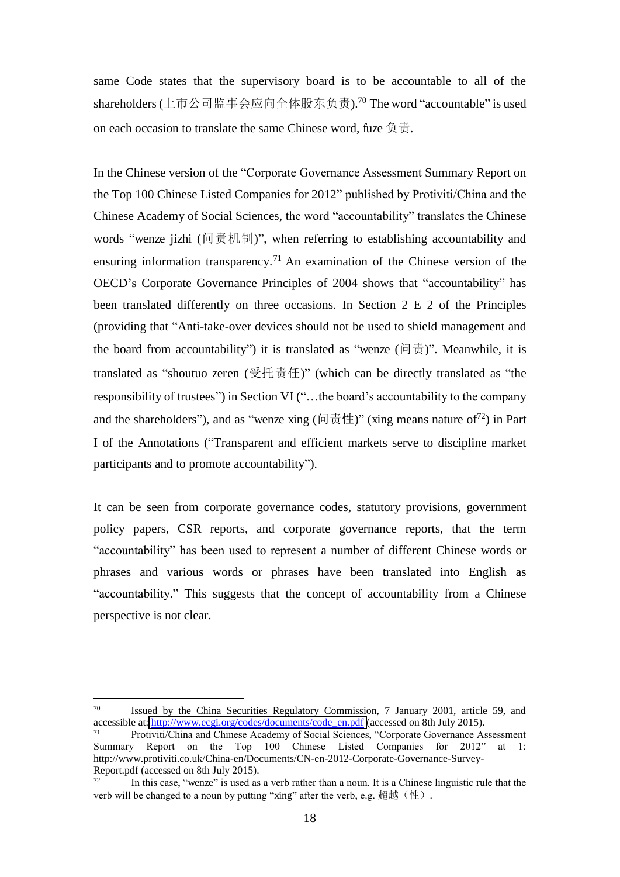same Code states that the supervisory board is to be accountable to all of the shareholders (上市公司监事会应向全体股东负责).<sup>70</sup> The word "accountable" is used on each occasion to translate the same Chinese word, fuze  $\oplus \overline{\oplus}$ .

In the Chinese version of the "Corporate Governance Assessment Summary Report on the Top 100 Chinese Listed Companies for 2012" published by Protiviti/China and the Chinese Academy of Social Sciences, the word "accountability" translates the Chinese words "wenze jizhi (问责机制)", when referring to establishing accountability and ensuring information transparency.<sup>71</sup> An examination of the Chinese version of the OECD's Corporate Governance Principles of 2004 shows that "accountability" has been translated differently on three occasions. In Section 2 E 2 of the Principles (providing that "Anti-take-over devices should not be used to shield management and the board from accountability") it is translated as "wenze  $(\Pi \overrightarrow{B})$ ". Meanwhile, it is translated as "shoutuo zeren  $(\frac{\mathcal{F}}{\mathcal{F}} \cdot \frac{\mathcal{F}}{\mathcal{F}} \cdot \frac{\mathcal{F}}{\mathcal{F}})$ " (which can be directly translated as "the responsibility of trustees") in Section VI ("…the board's accountability to the company and the shareholders"), and as "wenze xing ( $\vert \vec{v} \vert \pm \vec{v} \vert$ " (xing means nature of<sup>72</sup>) in Part I of the Annotations ("Transparent and efficient markets serve to discipline market participants and to promote accountability").

It can be seen from corporate governance codes, statutory provisions, government policy papers, CSR reports, and corporate governance reports, that the term "accountability" has been used to represent a number of different Chinese words or phrases and various words or phrases have been translated into English as "accountability." This suggests that the concept of accountability from a Chinese perspective is not clear.

<sup>70</sup> <sup>70</sup> Issued by the China Securities Regulatory Commission, 7 January 2001, article 59, and accessible at: [http://www.ecgi.org/codes/documents/code\\_en.pdf](http://www.ecgi.org/codes/documents/code_en.pdf) (accessed on 8th July 2015).

<sup>71</sup> Protiviti/China and Chinese Academy of Social Sciences, "Corporate Governance Assessment Summary Report on the Top 100 Chinese Listed Companies for 2012" at 1: http://www.protiviti.co.uk/China-en/Documents/CN-en-2012-Corporate-Governance-Survey-Report.pdf (accessed on 8th July 2015).

<sup>72</sup> In this case, "wenze" is used as a verb rather than a noun. It is a Chinese linguistic rule that the verb will be changed to a noun by putting "xing" after the verb, e.g. 超越 (性).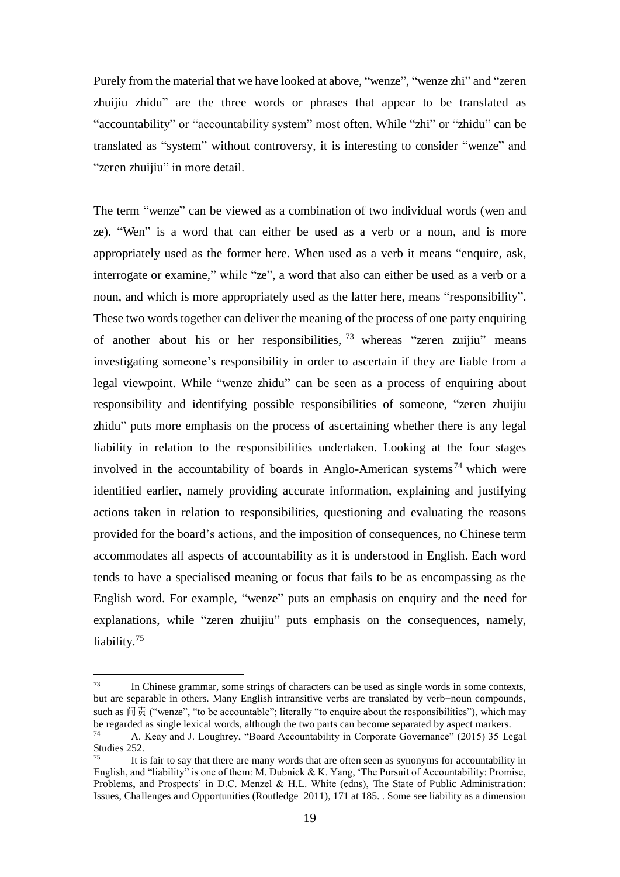Purely from the material that we have looked at above, "wenze", "wenze zhi" and "zeren zhuijiu zhidu" are the three words or phrases that appear to be translated as "accountability" or "accountability system" most often. While "zhi" or "zhidu" can be translated as "system" without controversy, it is interesting to consider "wenze" and "zeren zhuijiu" in more detail.

The term "wenze" can be viewed as a combination of two individual words (wen and ze). "Wen" is a word that can either be used as a verb or a noun, and is more appropriately used as the former here. When used as a verb it means "enquire, ask, interrogate or examine," while "ze", a word that also can either be used as a verb or a noun, and which is more appropriately used as the latter here, means "responsibility". These two words together can deliver the meaning of the process of one party enquiring of another about his or her responsibilities,  $73$  whereas "zeren zuijiu" means investigating someone's responsibility in order to ascertain if they are liable from a legal viewpoint. While "wenze zhidu" can be seen as a process of enquiring about responsibility and identifying possible responsibilities of someone, "zeren zhuijiu zhidu" puts more emphasis on the process of ascertaining whether there is any legal liability in relation to the responsibilities undertaken. Looking at the four stages involved in the accountability of boards in Anglo-American systems<sup>74</sup> which were identified earlier, namely providing accurate information, explaining and justifying actions taken in relation to responsibilities, questioning and evaluating the reasons provided for the board's actions, and the imposition of consequences, no Chinese term accommodates all aspects of accountability as it is understood in English. Each word tends to have a specialised meaning or focus that fails to be as encompassing as the English word. For example, "wenze" puts an emphasis on enquiry and the need for explanations, while "zeren zhuijiu" puts emphasis on the consequences, namely, liability.<sup>75</sup>

<sup>73</sup> In Chinese grammar, some strings of characters can be used as single words in some contexts, but are separable in others. Many English intransitive verbs are translated by verb+noun compounds, such as 问责 ("wenze", "to be accountable"; literally "to enquire about the responsibilities"), which may be regarded as single lexical words, although the two parts can become separated by aspect markers. 74

A. Keay and J. Loughrey, "Board Accountability in Corporate Governance" (2015) 35 Legal Studies 252.

It is fair to say that there are many words that are often seen as synonyms for accountability in English, and "liability" is one of them: M. Dubnick & K. Yang, 'The Pursuit of Accountability: Promise, Problems, and Prospects' in D.C. Menzel & H.L. White (edns), The State of Public Administration: Issues, Challenges and Opportunities (Routledge 2011), 171 at 185. . Some see liability as a dimension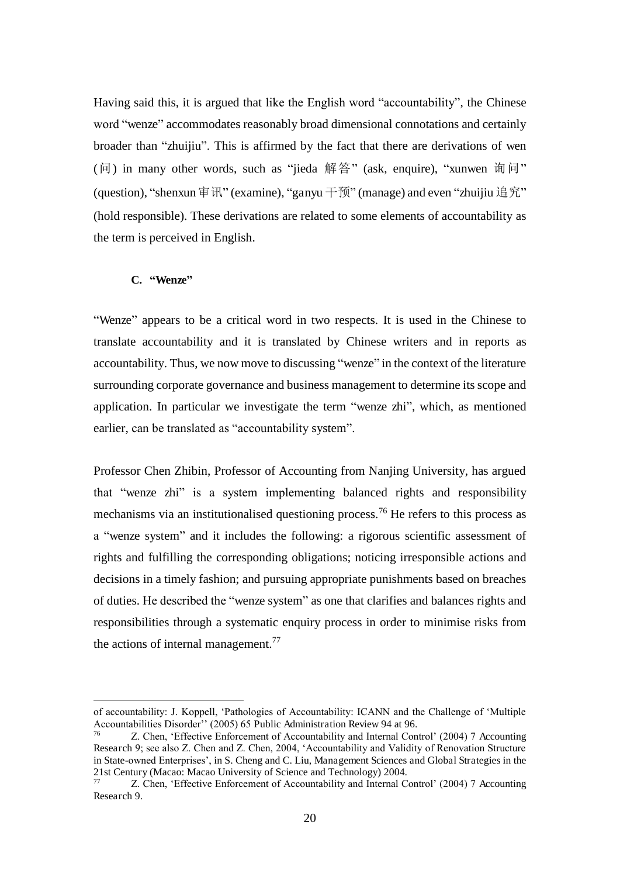Having said this, it is argued that like the English word "accountability", the Chinese word "wenze" accommodates reasonably broad dimensional connotations and certainly broader than "zhuijiu". This is affirmed by the fact that there are derivations of wen (问) in many other words, such as "jieda 解答" (ask, enquire), "xunwen 询问" (question), "shenxun 审讯" (examine), "ganyu 干预" (manage) and even "zhuijiu 追究" (hold responsible). These derivations are related to some elements of accountability as the term is perceived in English.

#### **C. "Wenze"**

 $\overline{a}$ 

"Wenze" appears to be a critical word in two respects. It is used in the Chinese to translate accountability and it is translated by Chinese writers and in reports as accountability. Thus, we now move to discussing "wenze" in the context of the literature surrounding corporate governance and business management to determine its scope and application. In particular we investigate the term "wenze zhi", which, as mentioned earlier, can be translated as "accountability system".

Professor Chen Zhibin, Professor of Accounting from Nanjing University, has argued that "wenze zhi" is a system implementing balanced rights and responsibility mechanisms via an institutionalised questioning process.<sup>76</sup> He refers to this process as a "wenze system" and it includes the following: a rigorous scientific assessment of rights and fulfilling the corresponding obligations; noticing irresponsible actions and decisions in a timely fashion; and pursuing appropriate punishments based on breaches of duties. He described the "wenze system" as one that clarifies and balances rights and responsibilities through a systematic enquiry process in order to minimise risks from the actions of internal management.<sup>77</sup>

of accountability: J. Koppell, 'Pathologies of Accountability: ICANN and the Challenge of 'Multiple Accountabilities Disorder'' (2005) 65 Public Administration Review 94 at 96.

<sup>76</sup> Z. Chen, 'Effective Enforcement of Accountability and Internal Control' (2004) 7 Accounting Research 9; see also Z. Chen and Z. Chen, 2004, 'Accountability and Validity of Renovation Structure in State-owned Enterprises', in S. Cheng and C. Liu, Management Sciences and Global Strategies in the 21st Century (Macao: Macao University of Science and Technology) 2004.

 $\frac{27}{77}$  Z. Chen, 'Effective Enforcement of Accountability and Internal Control' (2004) 7 Accounting Research 9.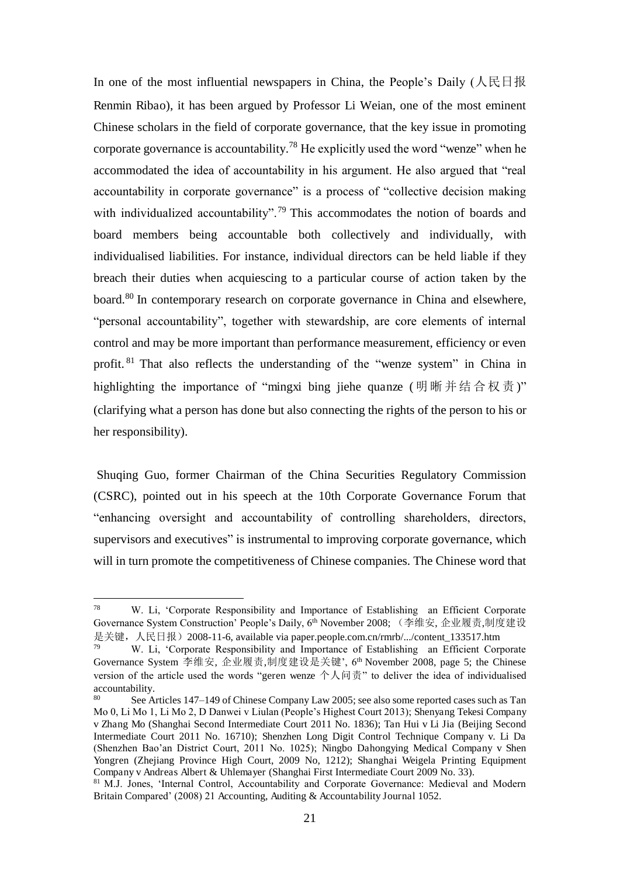In one of the most influential newspapers in China, the People's Daily ( $\angle \mathbb{R} \boxtimes \mathbb{R}$ ) Renmin Ribao), it has been argued by Professor Li Weian, one of the most eminent Chinese scholars in the field of corporate governance, that the key issue in promoting corporate governance is accountability.<sup>78</sup> He explicitly used the word "wenze" when he accommodated the idea of accountability in his argument. He also argued that "real accountability in corporate governance" is a process of "collective decision making with individualized accountability".<sup>79</sup> This accommodates the notion of boards and board members being accountable both collectively and individually, with individualised liabilities. For instance, individual directors can be held liable if they breach their duties when acquiescing to a particular course of action taken by the board.<sup>80</sup> In contemporary research on corporate governance in China and elsewhere, "personal accountability", together with stewardship, are core elements of internal control and may be more important than performance measurement, efficiency or even profit. <sup>81</sup> That also reflects the understanding of the "wenze system" in China in highlighting the importance of "mingxi bing jiehe quanze (明晰并结合权责)" (clarifying what a person has done but also connecting the rights of the person to his or her responsibility).

 Shuqing Guo, former Chairman of the China Securities Regulatory Commission (CSRC), pointed out in his speech at the 10th Corporate Governance Forum that "enhancing oversight and accountability of controlling shareholders, directors, supervisors and executives" is instrumental to improving corporate governance, which will in turn promote the competitiveness of Chinese companies. The Chinese word that

<sup>78</sup> W. Li, 'Corporate Responsibility and Importance of Establishing an Efficient Corporate Governance System Construction' People's Daily, 6<sup>th</sup> November 2008; (李维安, 企业履责,制度建设 是关键, 人民日报) 2008-11-6, available via paper.people.com.cn/rmrb/.../content\_133517.htm

<sup>79</sup> W. Li, 'Corporate Responsibility and Importance of Establishing an Efficient Corporate Governance System 李维安, 企业履责,制度建设是关键', 6<sup>th</sup> November 2008, page 5; the Chinese version of the article used the words "geren wenze 个人问责" to deliver the idea of individualised accountability.

See Articles 147–149 of Chinese Company Law 2005; see also some reported cases such as Tan Mo 0, Li Mo 1, Li Mo 2, D Danwei v Liulan (People's Highest Court 2013); Shenyang Tekesi Company v Zhang Mo (Shanghai Second Intermediate Court 2011 No. 1836); Tan Hui v Li Jia (Beijing Second Intermediate Court 2011 No. 16710); Shenzhen Long Digit Control Technique Company v. Li Da (Shenzhen Bao'an District Court, 2011 No. 1025); Ningbo Dahongying Medical Company v Shen Yongren (Zheiiang Province High Court, 2009 No, 1212); Shanghai Weigela Printing Equipment Company v Andreas Albert & Uhlemayer (Shanghai First Intermediate Court 2009 No. 33).

<sup>&</sup>lt;sup>81</sup> M.J. Jones, 'Internal Control, Accountability and Corporate Governance: Medieval and Modern Britain Compared' (2008) 21 Accounting, Auditing & Accountability Journal 1052.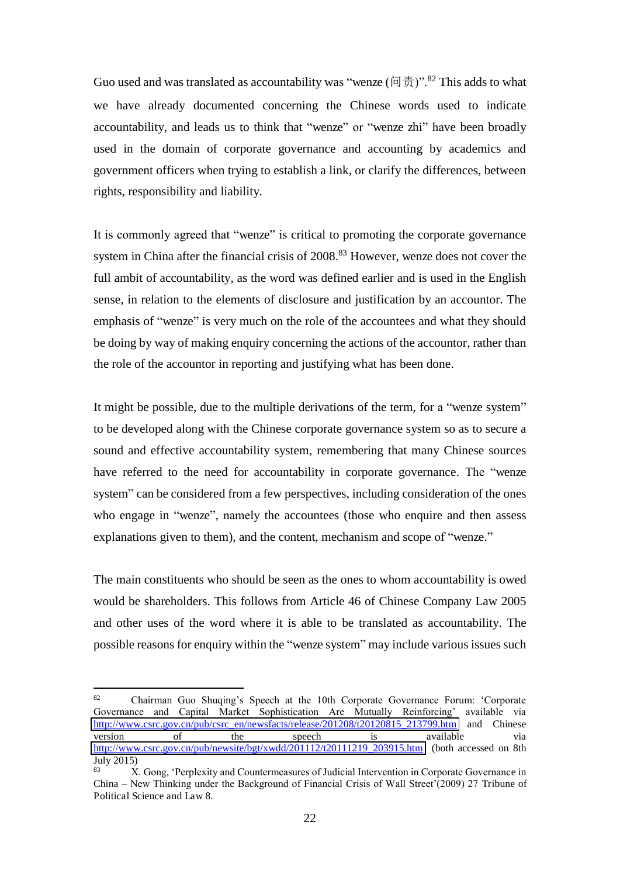Guo used and was translated as accountability was "wenze ( $\vert \vec{u} \cdot \vec{B} \vert$ )".<sup>82</sup> This adds to what we have already documented concerning the Chinese words used to indicate accountability, and leads us to think that "wenze" or "wenze zhi" have been broadly used in the domain of corporate governance and accounting by academics and government officers when trying to establish a link, or clarify the differences, between rights, responsibility and liability.

It is commonly agreed that "wenze" is critical to promoting the corporate governance system in China after the financial crisis of 2008.<sup>83</sup> However, wenze does not cover the full ambit of accountability, as the word was defined earlier and is used in the English sense, in relation to the elements of disclosure and justification by an accountor. The emphasis of "wenze" is very much on the role of the accountees and what they should be doing by way of making enquiry concerning the actions of the accountor, rather than the role of the accountor in reporting and justifying what has been done.

It might be possible, due to the multiple derivations of the term, for a "wenze system" to be developed along with the Chinese corporate governance system so as to secure a sound and effective accountability system, remembering that many Chinese sources have referred to the need for accountability in corporate governance. The "wenze system" can be considered from a few perspectives, including consideration of the ones who engage in "wenze", namely the accountees (those who enquire and then assess explanations given to them), and the content, mechanism and scope of "wenze."

The main constituents who should be seen as the ones to whom accountability is owed would be shareholders. This follows from Article 46 of Chinese Company Law 2005 and other uses of the word where it is able to be translated as accountability. The possible reasons for enquiry within the "wenze system" may include various issues such

<sup>82</sup> Chairman Guo Shuqing's Speech at the 10th Corporate Governance Forum: 'Corporate Governance and Capital Market Sophistication Are Mutually Reinforcing' available via [http://www.csrc.gov.cn/pub/csrc\\_en/newsfacts/release/201208/t20120815\\_213799.htm](http://www.csrc.gov.cn/pub/csrc_en/newsfacts/release/201208/t20120815_213799.htm) and Chinese version of the speech is available via [http://www.csrc.gov.cn/pub/newsite/bgt/xwdd/201112/t20111219\\_203915.htm](http://www.csrc.gov.cn/pub/newsite/bgt/xwdd/201112/t20111219_203915.htm) (both accessed on 8th July 2015)

<sup>83</sup> X. Gong, 'Perplexity and Countermeasures of Judicial Intervention in Corporate Governance in China – New Thinking under the Background of Financial Crisis of Wall Street'(2009) 27 Tribune of Political Science and Law 8.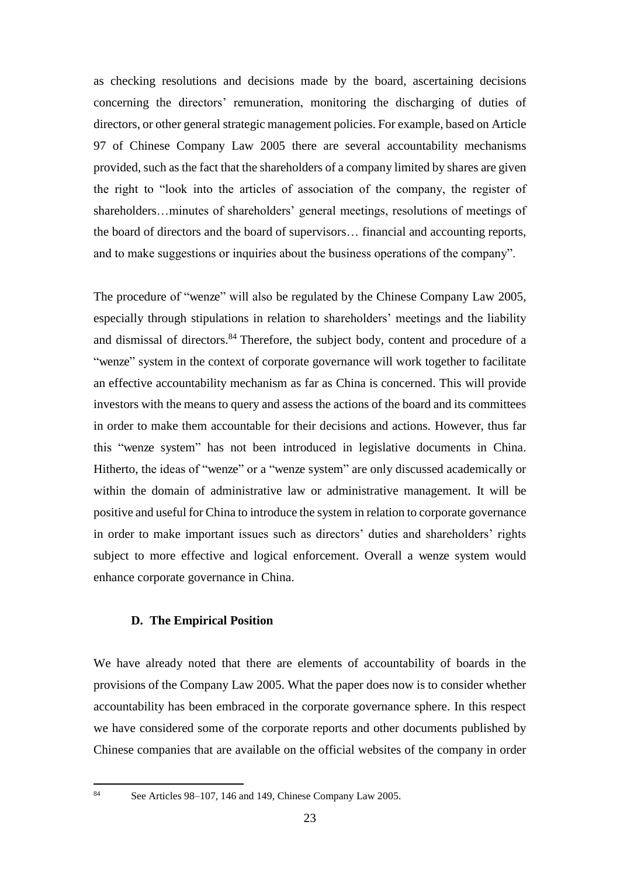as checking resolutions and decisions made by the board, ascertaining decisions concerning the directors' remuneration, monitoring the discharging of duties of directors, or other general strategic management policies. For example, based on Article 97 of Chinese Company Law 2005 there are several accountability mechanisms provided, such as the fact that the shareholders of a company limited by shares are given the right to "look into the articles of association of the company, the register of shareholders…minutes of shareholders' general meetings, resolutions of meetings of the board of directors and the board of supervisors… financial and accounting reports, and to make suggestions or inquiries about the business operations of the company".

The procedure of "wenze" will also be regulated by the Chinese Company Law 2005, especially through stipulations in relation to shareholders' meetings and the liability and dismissal of directors.<sup>84</sup> Therefore, the subject body, content and procedure of a "wenze" system in the context of corporate governance will work together to facilitate an effective accountability mechanism as far as China is concerned. This will provide investors with the means to query and assess the actions of the board and its committees in order to make them accountable for their decisions and actions. However, thus far this "wenze system" has not been introduced in legislative documents in China. Hitherto, the ideas of "wenze" or a "wenze system" are only discussed academically or within the domain of administrative law or administrative management. It will be positive and useful for China to introduce the system in relation to corporate governance in order to make important issues such as directors' duties and shareholders' rights subject to more effective and logical enforcement. Overall a wenze system would enhance corporate governance in China.

#### **D. The Empirical Position**

We have already noted that there are elements of accountability of boards in the provisions of the Company Law 2005. What the paper does now is to consider whether accountability has been embraced in the corporate governance sphere. In this respect we have considered some of the corporate reports and other documents published by Chinese companies that are available on the official websites of the company in order

84

See Articles 98–107, 146 and 149, Chinese Company Law 2005.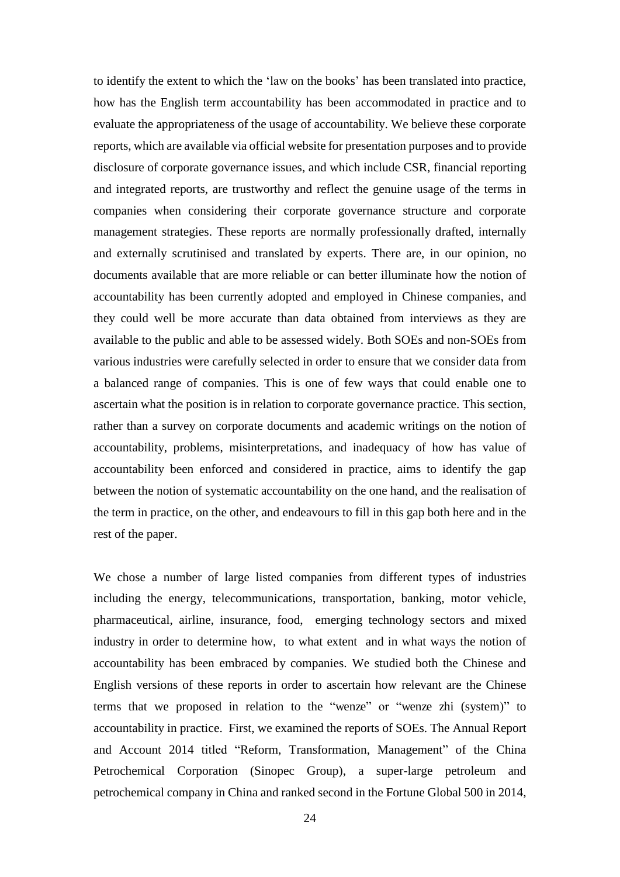to identify the extent to which the 'law on the books' has been translated into practice, how has the English term accountability has been accommodated in practice and to evaluate the appropriateness of the usage of accountability. We believe these corporate reports, which are available via official website for presentation purposes and to provide disclosure of corporate governance issues, and which include CSR, financial reporting and integrated reports, are trustworthy and reflect the genuine usage of the terms in companies when considering their corporate governance structure and corporate management strategies. These reports are normally professionally drafted, internally and externally scrutinised and translated by experts. There are, in our opinion, no documents available that are more reliable or can better illuminate how the notion of accountability has been currently adopted and employed in Chinese companies, and they could well be more accurate than data obtained from interviews as they are available to the public and able to be assessed widely. Both SOEs and non-SOEs from various industries were carefully selected in order to ensure that we consider data from a balanced range of companies. This is one of few ways that could enable one to ascertain what the position is in relation to corporate governance practice. This section, rather than a survey on corporate documents and academic writings on the notion of accountability, problems, misinterpretations, and inadequacy of how has value of accountability been enforced and considered in practice, aims to identify the gap between the notion of systematic accountability on the one hand, and the realisation of the term in practice, on the other, and endeavours to fill in this gap both here and in the rest of the paper.

We chose a number of large listed companies from different types of industries including the energy, telecommunications, transportation, banking, motor vehicle, pharmaceutical, airline, insurance, food, emerging technology sectors and mixed industry in order to determine how, to what extent and in what ways the notion of accountability has been embraced by companies. We studied both the Chinese and English versions of these reports in order to ascertain how relevant are the Chinese terms that we proposed in relation to the "wenze" or "wenze zhi (system)" to accountability in practice. First, we examined the reports of SOEs. The Annual Report and Account 2014 titled "Reform, Transformation, Management" of the China Petrochemical Corporation (Sinopec Group), a super-large petroleum and petrochemical company in China and ranked second in the Fortune Global 500 in 2014,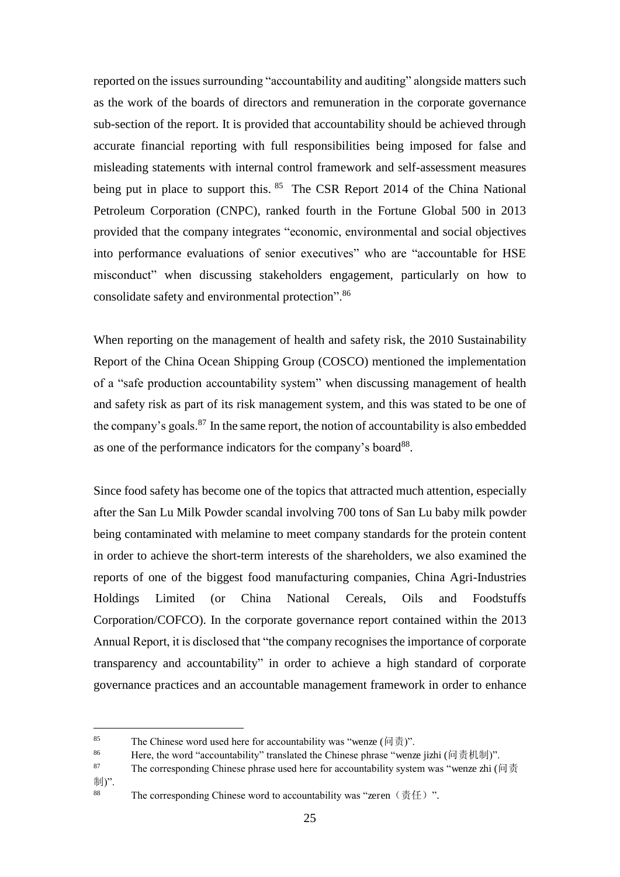reported on the issues surrounding "accountability and auditing" alongside matters such as the work of the boards of directors and remuneration in the corporate governance sub-section of the report. It is provided that accountability should be achieved through accurate financial reporting with full responsibilities being imposed for false and misleading statements with internal control framework and self-assessment measures being put in place to support this. <sup>85</sup> The CSR Report 2014 of the China National Petroleum Corporation (CNPC), ranked fourth in the Fortune Global 500 in 2013 provided that the company integrates "economic, environmental and social objectives into performance evaluations of senior executives" who are "accountable for HSE misconduct" when discussing stakeholders engagement, particularly on how to consolidate safety and environmental protection". 86

When reporting on the management of health and safety risk, the 2010 Sustainability Report of the China Ocean Shipping Group (COSCO) mentioned the implementation of a "safe production accountability system" when discussing management of health and safety risk as part of its risk management system, and this was stated to be one of the company's goals. $87$  In the same report, the notion of accountability is also embedded as one of the performance indicators for the company's board<sup>88</sup>.

Since food safety has become one of the topics that attracted much attention, especially after the San Lu Milk Powder scandal involving 700 tons of San Lu baby milk powder being contaminated with melamine to meet company standards for the protein content in order to achieve the short-term interests of the shareholders, we also examined the reports of one of the biggest food manufacturing companies, China Agri-Industries Holdings Limited (or China National Cereals, Oils and Foodstuffs Corporation/COFCO). In the corporate governance report contained within the 2013 Annual Report, it is disclosed that "the company recognises the importance of corporate transparency and accountability" in order to achieve a high standard of corporate governance practices and an accountable management framework in order to enhance

<sup>85</sup> The Chinese word used here for accountability was "wenze ( $|\vec{u}| \frac{1}{\phi}$ )".

<sup>86</sup> Here, the word "accountability" translated the Chinese phrase "wenze jizhi (问责机制)".

<sup>87</sup> The corresponding Chinese phrase used here for accountability system was "wenze zhi (问责 制)". 88

The corresponding Chinese word to accountability was "zeren $(\bar{\pi}f)$ ".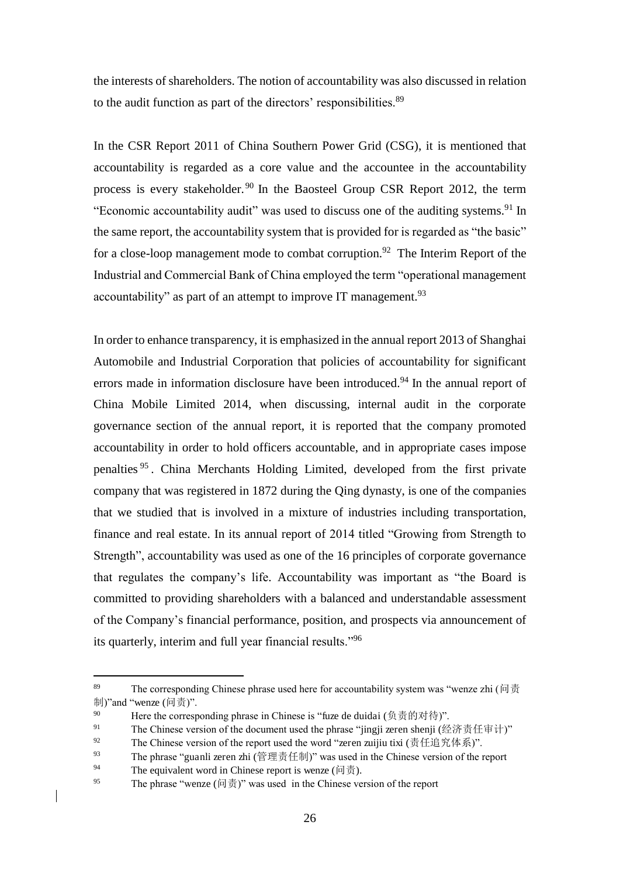the interests of shareholders. The notion of accountability was also discussed in relation to the audit function as part of the directors' responsibilities.<sup>89</sup>

In the CSR Report 2011 of China Southern Power Grid (CSG), it is mentioned that accountability is regarded as a core value and the accountee in the accountability process is every stakeholder. <sup>90</sup> In the Baosteel Group CSR Report 2012, the term "Economic accountability audit" was used to discuss one of the auditing systems.<sup>91</sup> In the same report, the accountability system that is provided for is regarded as "the basic" for a close-loop management mode to combat corruption.<sup>92</sup> The Interim Report of the Industrial and Commercial Bank of China employed the term "operational management accountability" as part of an attempt to improve IT management.<sup>93</sup>

In order to enhance transparency, it is emphasized in the annual report 2013 of Shanghai Automobile and Industrial Corporation that policies of accountability for significant errors made in information disclosure have been introduced.<sup>94</sup> In the annual report of China Mobile Limited 2014, when discussing, internal audit in the corporate governance section of the annual report, it is reported that the company promoted accountability in order to hold officers accountable, and in appropriate cases impose penalties <sup>95</sup> . China Merchants Holding Limited, developed from the first private company that was registered in 1872 during the Qing dynasty, is one of the companies that we studied that is involved in a mixture of industries including transportation, finance and real estate. In its annual report of 2014 titled "Growing from Strength to Strength", accountability was used as one of the 16 principles of corporate governance that regulates the company's life. Accountability was important as "the Board is committed to providing shareholders with a balanced and understandable assessment of the Company's financial performance, position, and prospects via announcement of its quarterly, interim and full year financial results."<sup>96</sup>

<sup>89</sup> The corresponding Chinese phrase used here for accountability system was "wenze zhi (问责 制)"and "wenze (问责)".

<sup>90</sup> Here the corresponding phrase in Chinese is "fuze de duidai (负责的对待)".

<sup>91</sup> The Chinese version of the document used the phrase "jingji zeren shenji (经济责任审计)"

<sup>92</sup> The Chinese version of the report used the word "zeren zuijiu tixi (责任追究体系)".

<sup>93</sup> The phrase "guanli zeren zhi (管理责任制)" was used in the Chinese version of the report

The equivalent word in Chinese report is wenze ( $\vert \vec{v} \vert$ ).

<sup>95</sup> The phrase "wenze  $(\vec{m} \ddot{\vec{\theta}})$ " was used in the Chinese version of the report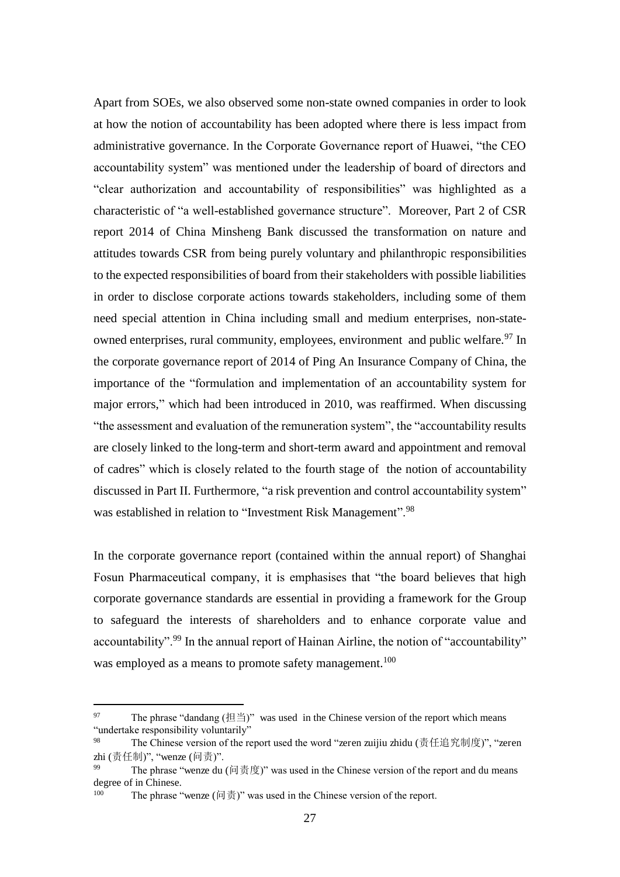Apart from SOEs, we also observed some non-state owned companies in order to look at how the notion of accountability has been adopted where there is less impact from administrative governance. In the Corporate Governance report of Huawei, "the CEO accountability system" was mentioned under the leadership of board of directors and "clear authorization and accountability of responsibilities" was highlighted as a characteristic of "a well-established governance structure". Moreover, Part 2 of CSR report 2014 of China Minsheng Bank discussed the transformation on nature and attitudes towards CSR from being purely voluntary and philanthropic responsibilities to the expected responsibilities of board from their stakeholders with possible liabilities in order to disclose corporate actions towards stakeholders, including some of them need special attention in China including small and medium enterprises, non-stateowned enterprises, rural community, employees, environment and public welfare.<sup>97</sup> In the corporate governance report of 2014 of Ping An Insurance Company of China, the importance of the "formulation and implementation of an accountability system for major errors," which had been introduced in 2010, was reaffirmed. When discussing "the assessment and evaluation of the remuneration system", the "accountability results are closely linked to the long-term and short-term award and appointment and removal of cadres" which is closely related to the fourth stage of the notion of accountability discussed in Part II. Furthermore, "a risk prevention and control accountability system" was established in relation to "Investment Risk Management".<sup>98</sup>

In the corporate governance report (contained within the annual report) of Shanghai Fosun Pharmaceutical company, it is emphasises that "the board believes that high corporate governance standards are essential in providing a framework for the Group to safeguard the interests of shareholders and to enhance corporate value and accountability".<sup>99</sup> In the annual report of Hainan Airline, the notion of "accountability" was employed as a means to promote safety management.<sup>100</sup>

<sup>97</sup> The phrase "dandang  $(\text{H} \triangleq)$ " was used in the Chinese version of the report which means "undertake responsibility voluntarily"

<sup>98</sup> The Chinese version of the report used the word "zeren zuijiu zhidu (责任追究制度)", "zeren zhi (责任制)", "wenze (问责)".

<sup>99</sup> The phrase "wenze du  $(\text{e} \text{Fg})$ " was used in the Chinese version of the report and du means degree of in Chinese.

<sup>100</sup> The phrase "wenze  $(\boxdot \vec \Xi)$ " was used in the Chinese version of the report.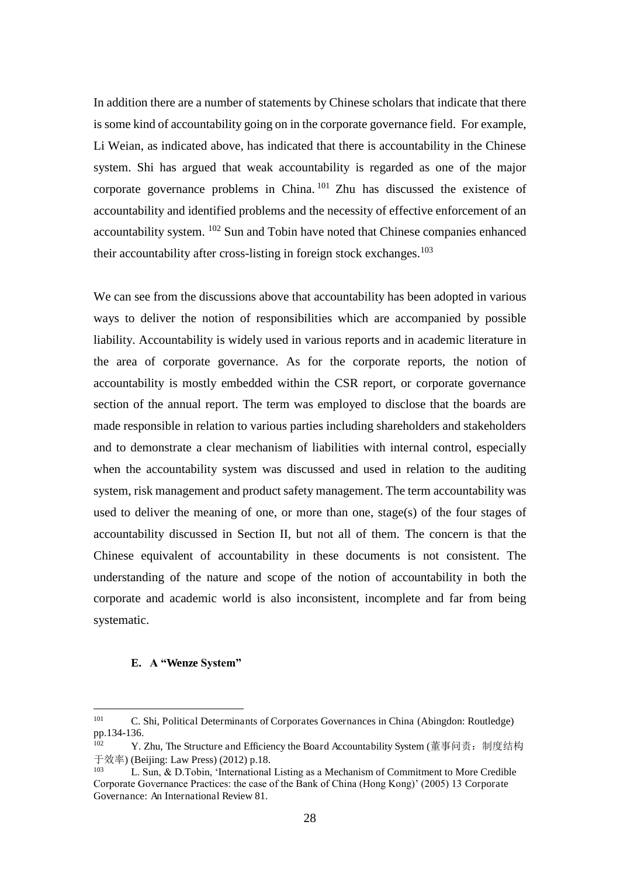In addition there are a number of statements by Chinese scholars that indicate that there is some kind of accountability going on in the corporate governance field. For example, Li Weian, as indicated above, has indicated that there is accountability in the Chinese system. Shi has argued that weak accountability is regarded as one of the major corporate governance problems in China. <sup>101</sup> Zhu has discussed the existence of accountability and identified problems and the necessity of effective enforcement of an accountability system. <sup>102</sup> Sun and Tobin have noted that Chinese companies enhanced their accountability after cross-listing in foreign stock exchanges.<sup>103</sup>

We can see from the discussions above that accountability has been adopted in various ways to deliver the notion of responsibilities which are accompanied by possible liability. Accountability is widely used in various reports and in academic literature in the area of corporate governance. As for the corporate reports, the notion of accountability is mostly embedded within the CSR report, or corporate governance section of the annual report. The term was employed to disclose that the boards are made responsible in relation to various parties including shareholders and stakeholders and to demonstrate a clear mechanism of liabilities with internal control, especially when the accountability system was discussed and used in relation to the auditing system, risk management and product safety management. The term accountability was used to deliver the meaning of one, or more than one, stage(s) of the four stages of accountability discussed in Section II, but not all of them. The concern is that the Chinese equivalent of accountability in these documents is not consistent. The understanding of the nature and scope of the notion of accountability in both the corporate and academic world is also inconsistent, incomplete and far from being systematic.

#### **E. A "Wenze System"**

<sup>101</sup> C. Shi, Political Determinants of Corporates Governances in China (Abingdon: Routledge) pp.134-136.<br> $V'$ 

Y. Zhu, The Structure and Efficiency the Board Accountability System (董事问责: 制度结构 引鐔ぬ) (Beijing: Law Press) (2012) p.18.

<sup>103</sup> L. Sun, & D.Tobin, 'International Listing as a Mechanism of Commitment to More Credible Corporate Governance Practices: the case of the Bank of China (Hong Kong)' (2005) 13 Corporate Governance: An International Review 81.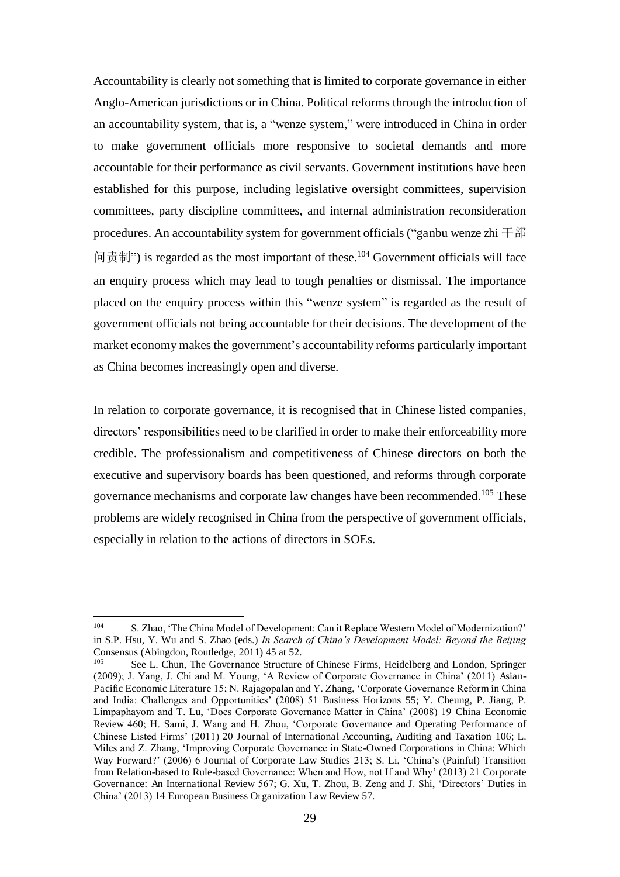Accountability is clearly not something that is limited to corporate governance in either Anglo-American jurisdictions or in China. Political reforms through the introduction of an accountability system, that is, a "wenze system," were introduced in China in order to make government officials more responsive to societal demands and more accountable for their performance as civil servants. Government institutions have been established for this purpose, including legislative oversight committees, supervision committees, party discipline committees, and internal administration reconsideration procedures. An accountability system for government officials ("ganbu wenze zhi  $\pm \frac{2}{3}$ 问责制") is regarded as the most important of these.<sup>104</sup> Government officials will face an enquiry process which may lead to tough penalties or dismissal. The importance placed on the enquiry process within this "wenze system" is regarded as the result of government officials not being accountable for their decisions. The development of the market economy makes the government's accountability reforms particularly important as China becomes increasingly open and diverse.

In relation to corporate governance, it is recognised that in Chinese listed companies, directors' responsibilities need to be clarified in order to make their enforceability more credible. The professionalism and competitiveness of Chinese directors on both the executive and supervisory boards has been questioned, and reforms through corporate governance mechanisms and corporate law changes have been recommended.<sup>105</sup> These problems are widely recognised in China from the perspective of government officials, especially in relation to the actions of directors in SOEs.

<sup>104</sup> S. Zhao, 'The China Model of Development: Can it Replace Western Model of Modernization?' in S.P. Hsu, Y. Wu and S. Zhao (eds.) *In Search of China's Development Model: Beyond the Beijing*  Consensus (Abingdon, Routledge, 2011) 45 at 52.

<sup>105</sup> See L. Chun, The Governance Structure of Chinese Firms, Heidelberg and London, Springer (2009); J. Yang, J. Chi and M. Young, 'A Review of Corporate Governance in China' (2011) Asian-Pacific Economic Literature 15; N. Rajagopalan and Y. Zhang, 'Corporate Governance Reform in China and India: Challenges and Opportunities' (2008) 51 Business Horizons 55; Y. Cheung, P. Jiang, P. Limpaphayom and T. Lu, 'Does Corporate Governance Matter in China' (2008) 19 China Economic Review 460; H. Sami, J. Wang and H. Zhou, 'Corporate Governance and Operating Performance of Chinese Listed Firms' (2011) 20 Journal of International Accounting, Auditing and Taxation 106; L. Miles and Z. Zhang, 'Improving Corporate Governance in State-Owned Corporations in China: Which Way Forward?' (2006) 6 Journal of Corporate Law Studies 213; S. Li, 'China's (Painful) Transition from Relation-based to Rule-based Governance: When and How, not If and Why' (2013) 21 Corporate Governance: An International Review 567; G. Xu, T. Zhou, B. Zeng and J. Shi, 'Directors' Duties in China' (2013) 14 European Business Organization Law Review 57.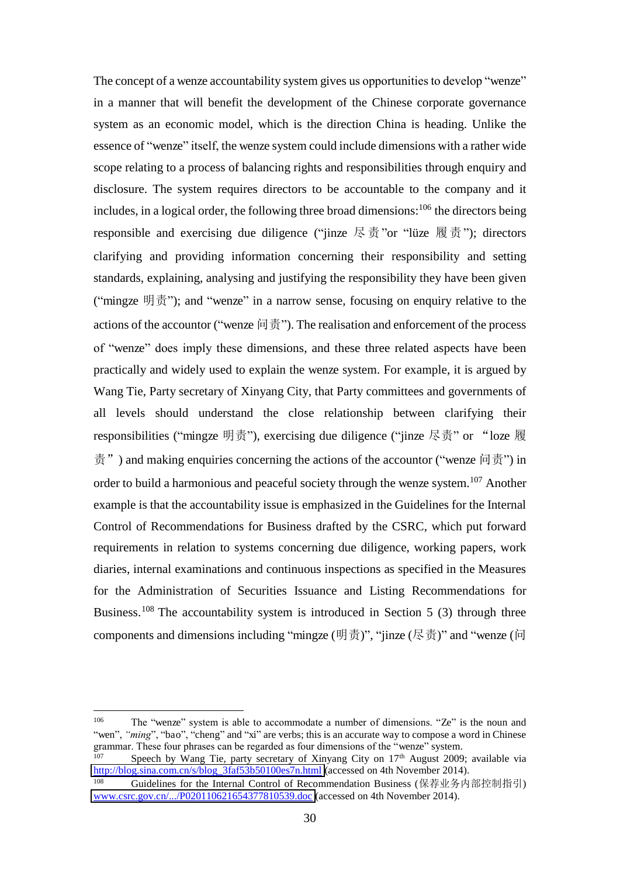The concept of a wenze accountability system gives us opportunities to develop "wenze" in a manner that will benefit the development of the Chinese corporate governance system as an economic model, which is the direction China is heading. Unlike the essence of "wenze" itself, the wenze system could include dimensions with a rather wide scope relating to a process of balancing rights and responsibilities through enquiry and disclosure. The system requires directors to be accountable to the company and it includes, in a logical order, the following three broad dimensions:  $106$  the directors being responsible and exercising due diligence ("jinze  $\mathbb{R}$   $\bar{\uppi}$ "or "lüze  $\mathbb{R}$   $\bar{\uppi}$ "); directors clarifying and providing information concerning their responsibility and setting standards, explaining, analysing and justifying the responsibility they have been given ("mingze  $\mathfrak{H}\bar{\mathfrak{F}}$ "); and "wenze" in a narrow sense, focusing on enquiry relative to the actions of the accountor ("wenze  $\vert \vec{v} \vert \vec{v}$ "). The realisation and enforcement of the process of "wenze" does imply these dimensions, and these three related aspects have been practically and widely used to explain the wenze system. For example, it is argued by Wang Tie, Party secretary of Xinyang City, that Party committees and governments of all levels should understand the close relationship between clarifying their responsibilities ("mingze 明责"), exercising due diligence ("jinze 尽责" or "loze 履  $\ddot{\bar{\mathcal{F}}}$ ") and making enquiries concerning the actions of the accountor ("wenze  $\ddot{\mathcal{F}}$ ") in order to build a harmonious and peaceful society through the wenze system.<sup>107</sup> Another example is that the accountability issue is emphasized in the Guidelines for the Internal Control of Recommendations for Business drafted by the CSRC, which put forward requirements in relation to systems concerning due diligence, working papers, work diaries, internal examinations and continuous inspections as specified in the Measures for the Administration of Securities Issuance and Listing Recommendations for Business.<sup>108</sup> The accountability system is introduced in Section 5 (3) through three components and dimensions including "mingze (明责)", "jinze (尽责)" and "wenze (问

 106 The "wenze" system is able to accommodate a number of dimensions. "Ze" is the noun and "wen", "ming", "bao", "cheng" and "xi" are verbs; this is an accurate way to compose a word in Chinese grammar. These four phrases can be regarded as four dimensions of the "wenze" system.<br><sup>107</sup> Speech by Wang Tie, perty segretary of Vinyone City on 17<sup>th</sup> Ayeust 2000.

Speech by Wang Tie, party secretary of Xinyang City on  $17<sup>th</sup>$  August 2009; available via [http://blog.sina.com.cn/s/blog\\_3faf53b50100es7n.html \(](http://blog.sina.com.cn/s/blog_3faf53b50100es7n.html)accessed on 4th November 2014).

Guidelines for the Internal Control of Recommendation Business (保荐业务内部控制指引) [www.csrc.gov.cn/.../P020110621654377810539.doc](http://www.csrc.gov.cn/.../P020110621654377810539.doc) (accessed on 4th November 2014).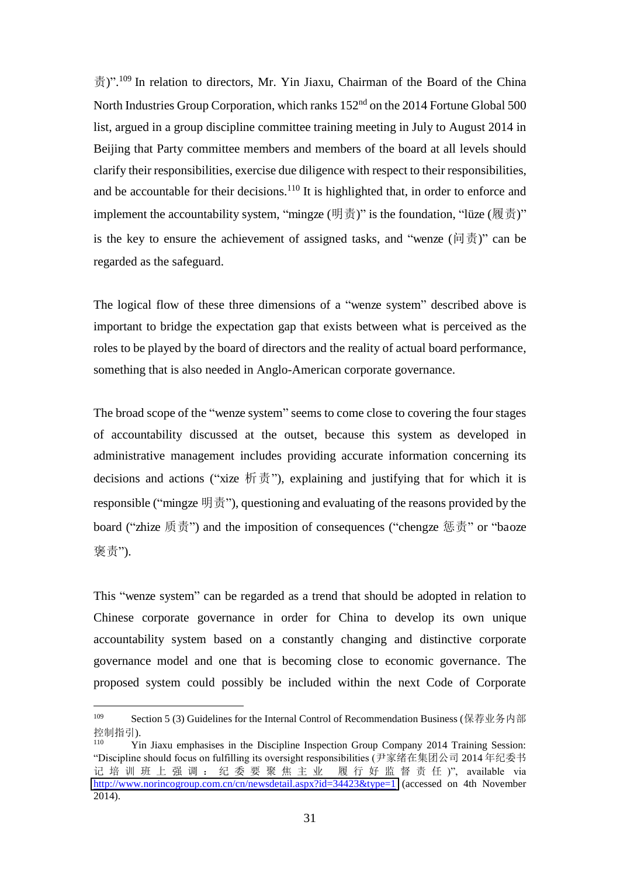䍓)". <sup>109</sup> In relation to directors, Mr. Yin Jiaxu, Chairman of the Board of the China North Industries Group Corporation, which ranks 152<sup>nd</sup> on the 2014 Fortune Global 500 list, argued in a group discipline committee training meeting in July to August 2014 in Beijing that Party committee members and members of the board at all levels should clarify their responsibilities, exercise due diligence with respect to their responsibilities, and be accountable for their decisions.<sup>110</sup> It is highlighted that, in order to enforce and implement the accountability system, "mingze (明责)" is the foundation, "lüze (履责)" is the key to ensure the achievement of assigned tasks, and "wenze ( $\overline{\uplus}$ )" can be regarded as the safeguard.

The logical flow of these three dimensions of a "wenze system" described above is important to bridge the expectation gap that exists between what is perceived as the roles to be played by the board of directors and the reality of actual board performance, something that is also needed in Anglo-American corporate governance.

The broad scope of the "wenze system" seems to come close to covering the four stages of accountability discussed at the outset, because this system as developed in administrative management includes providing accurate information concerning its decisions and actions ("xize  $\overline{m}$ ,  $\overline{m}$ "), explaining and justifying that for which it is responsible ("mingze  $\mathfrak{H}\ddot{\mathfrak{F}}$ "), questioning and evaluating of the reasons provided by the board ("zhize 质责") and the imposition of consequences ("chengze 惩责" or "baoze 褒责").

This "wenze system" can be regarded as a trend that should be adopted in relation to Chinese corporate governance in order for China to develop its own unique accountability system based on a constantly changing and distinctive corporate governance model and one that is becoming close to economic governance. The proposed system could possibly be included within the next Code of Corporate

<sup>&</sup>lt;sup>109</sup> Section 5 (3) Guidelines for the Internal Control of Recommendation Business (保荐业务内部 控制指引).

<sup>110</sup> Yin Jiaxu emphasises in the Discipline Inspection Group Company 2014 Training Session: "Discipline should focus on fulfilling its oversight responsibilities (尹家绪在集团公司 2014 年纪委书 记培训班上强调: 纪委要聚焦主业 履行好监督责任)", available via <http://www.norincogroup.com.cn/cn/newsdetail.aspx?id=34423&type=1>(accessed on 4th November 2014).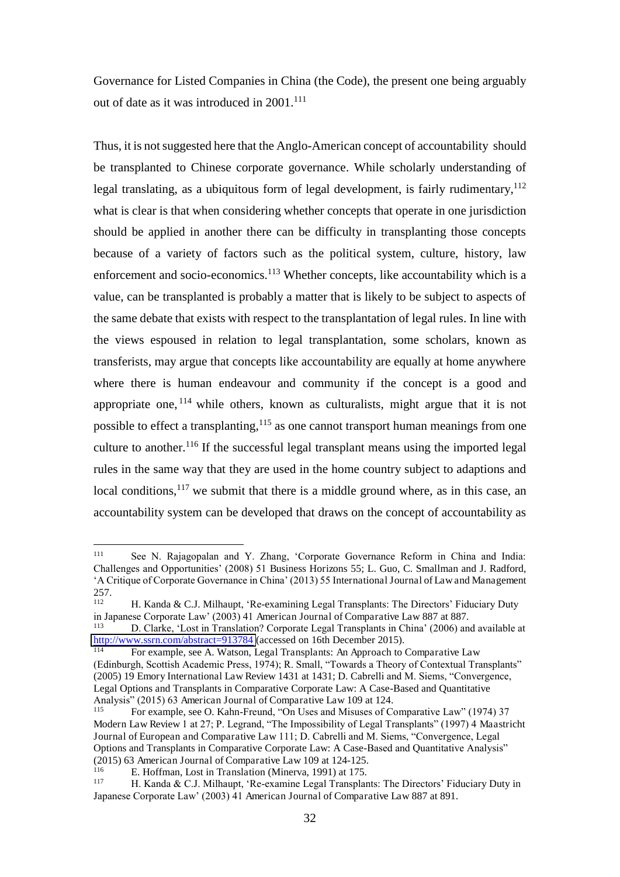Governance for Listed Companies in China (the Code), the present one being arguably out of date as it was introduced in  $2001$ .<sup>111</sup>

Thus, it is not suggested here that the Anglo-American concept of accountability should be transplanted to Chinese corporate governance. While scholarly understanding of legal translating, as a ubiquitous form of legal development, is fairly rudimentary,  $112$ what is clear is that when considering whether concepts that operate in one jurisdiction should be applied in another there can be difficulty in transplanting those concepts because of a variety of factors such as the political system, culture, history, law enforcement and socio-economics.<sup>113</sup> Whether concepts, like accountability which is a value, can be transplanted is probably a matter that is likely to be subject to aspects of the same debate that exists with respect to the transplantation of legal rules. In line with the views espoused in relation to legal transplantation, some scholars, known as transferists, may argue that concepts like accountability are equally at home anywhere where there is human endeavour and community if the concept is a good and appropriate one,  $^{114}$  while others, known as culturalists, might argue that it is not possible to effect a transplanting, $115$  as one cannot transport human meanings from one culture to another.<sup>116</sup> If the successful legal transplant means using the imported legal rules in the same way that they are used in the home country subject to adaptions and local conditions, $117$  we submit that there is a middle ground where, as in this case, an accountability system can be developed that draws on the concept of accountability as

 $\frac{1}{111}$  See N. Rajagopalan and Y. Zhang, 'Corporate Governance Reform in China and India: Challenges and Opportunities' (2008) 51 Business Horizons 55; L. Guo, C. Smallman and J. Radford, 'A Critique of Corporate Governance in China' (2013) 55 International Journal of Law and Management 257.

H. Kanda & C.J. Milhaupt, 'Re-examining Legal Transplants: The Directors' Fiduciary Duty in Japanese Corporate Law' (2003) 41 American Journal of Comparative Law 887 at 887.

<sup>113</sup> D. Clarke, 'Lost in Translation? Corporate Legal Transplants in China' (2006) and available at [http://www.ssrn.com/abstract=913784 \(](http://www.ssrn.com/abstract=913784)accessed on 16th December 2015).

<sup>114</sup> For example, see A. Watson, Legal Transplants: An Approach to Comparative Law (Edinburgh, Scottish Academic Press, 1974); R. Small, "Towards a Theory of Contextual Transplants" (2005) 19 Emory International Law Review 1431 at 1431; D. Cabrelli and M. Siems, "Convergence, Legal Options and Transplants in Comparative Corporate Law: A Case-Based and Quantitative Analysis" (2015) 63 American Journal of Comparative Law 109 at 124.

For example, see O. Kahn-Freund, "On Uses and Misuses of Comparative Law" (1974) 37 Modern Law Review 1 at 27; P. Legrand, "The Impossibility of Legal Transplants" (1997) 4 Maastricht Journal of European and Comparative Law 111; D. Cabrelli and M. Siems, "Convergence, Legal Options and Transplants in Comparative Corporate Law: A Case-Based and Quantitative Analysis" (2015) 63 American Journal of Comparative Law 109 at 124-125.

E. Hoffman, Lost in Translation (Minerva, 1991) at 175.

<sup>117</sup> H. Kanda & C.J. Milhaupt, 'Re-examine Legal Transplants: The Directors' Fiduciary Duty in Japanese Corporate Law' (2003) 41 American Journal of Comparative Law 887 at 891.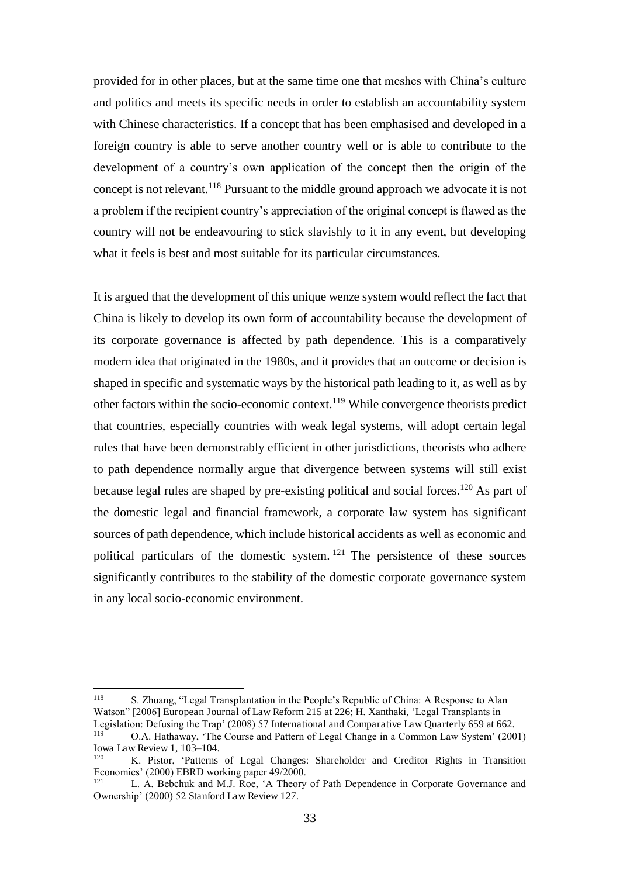provided for in other places, but at the same time one that meshes with China's culture and politics and meets its specific needs in order to establish an accountability system with Chinese characteristics. If a concept that has been emphasised and developed in a foreign country is able to serve another country well or is able to contribute to the development of a country's own application of the concept then the origin of the concept is not relevant.<sup>118</sup> Pursuant to the middle ground approach we advocate it is not a problem if the recipient country's appreciation of the original concept is flawed as the country will not be endeavouring to stick slavishly to it in any event, but developing what it feels is best and most suitable for its particular circumstances.

It is argued that the development of this unique wenze system would reflect the fact that China is likely to develop its own form of accountability because the development of its corporate governance is affected by path dependence. This is a comparatively modern idea that originated in the 1980s, and it provides that an outcome or decision is shaped in specific and systematic ways by the historical path leading to it, as well as by other factors within the socio-economic context.<sup>119</sup> While convergence theorists predict that countries, especially countries with weak legal systems, will adopt certain legal rules that have been demonstrably efficient in other jurisdictions, theorists who adhere to path dependence normally argue that divergence between systems will still exist because legal rules are shaped by pre-existing political and social forces.<sup>120</sup> As part of the domestic legal and financial framework, a corporate law system has significant sources of path dependence, which include historical accidents as well as economic and political particulars of the domestic system. <sup>121</sup> The persistence of these sources significantly contributes to the stability of the domestic corporate governance system in any local socio-economic environment.

<sup>118</sup> S. Zhuang, "Legal Transplantation in the People's Republic of China: A Response to Alan Watson" [2006] European Journal of Law Reform 215 at 226; H. Xanthaki, 'Legal Transplants in Legislation: Defusing the Trap' (2008) 57 International and Comparative Law Quarterly 659 at 662. 119

O.A. Hathaway, 'The Course and Pattern of Legal Change in a Common Law System' (2001) Iowa Law Review 1, 103–104. 120

K. Pistor, 'Patterns of Legal Changes: Shareholder and Creditor Rights in Transition Economies' (2000) EBRD working paper 49/2000.

<sup>121</sup> L. A. Bebchuk and M.J. Roe, 'A Theory of Path Dependence in Corporate Governance and Ownership' (2000) 52 Stanford Law Review 127.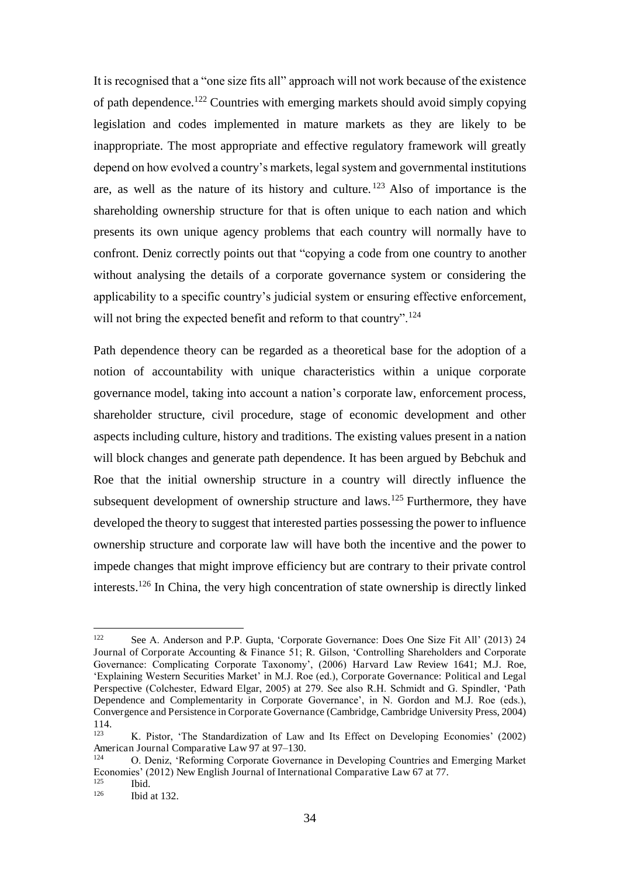It is recognised that a "one size fits all" approach will not work because of the existence of path dependence.<sup>122</sup> Countries with emerging markets should avoid simply copying legislation and codes implemented in mature markets as they are likely to be inappropriate. The most appropriate and effective regulatory framework will greatly depend on how evolved a country's markets, legal system and governmental institutions are, as well as the nature of its history and culture.  $123$  Also of importance is the shareholding ownership structure for that is often unique to each nation and which presents its own unique agency problems that each country will normally have to confront. Deniz correctly points out that "copying a code from one country to another without analysing the details of a corporate governance system or considering the applicability to a specific country's judicial system or ensuring effective enforcement, will not bring the expected benefit and reform to that country".<sup>124</sup>

Path dependence theory can be regarded as a theoretical base for the adoption of a notion of accountability with unique characteristics within a unique corporate governance model, taking into account a nation's corporate law, enforcement process, shareholder structure, civil procedure, stage of economic development and other aspects including culture, history and traditions. The existing values present in a nation will block changes and generate path dependence. It has been argued by Bebchuk and Roe that the initial ownership structure in a country will directly influence the subsequent development of ownership structure and laws.<sup>125</sup> Furthermore, they have developed the theory to suggest that interested parties possessing the power to influence ownership structure and corporate law will have both the incentive and the power to impede changes that might improve efficiency but are contrary to their private control interests.<sup>126</sup> In China, the very high concentration of state ownership is directly linked

<sup>122</sup> <sup>122</sup> See A. Anderson and P.P. Gupta, 'Corporate Governance: Does One Size Fit All' (2013) 24 Journal of Corporate Accounting & Finance 51; R. Gilson, 'Controlling Shareholders and Corporate Governance: Complicating Corporate Taxonomy', (2006) Harvard Law Review 1641; M.J. Roe, 'Explaining Western Securities Market' in M.J. Roe (ed.), Corporate Governance: Political and Legal Perspective (Colchester, Edward Elgar, 2005) at 279. See also R.H. Schmidt and G. Spindler, 'Path Dependence and Complementarity in Corporate Governance', in N. Gordon and M.J. Roe (eds.), Convergence and Persistence in Corporate Governance (Cambridge, Cambridge University Press, 2004) 114.

<sup>123</sup> K. Pistor, 'The Standardization of Law and Its Effect on Developing Economies' (2002) American Journal Comparative Law 97 at 97–130.

<sup>124</sup> O. Deniz, 'Reforming Corporate Governance in Developing Countries and Emerging Market Economies' (2012) New English Journal of International Comparative Law 67 at 77.

 $\frac{125}{126}$  Ibid.

Ibid at 132.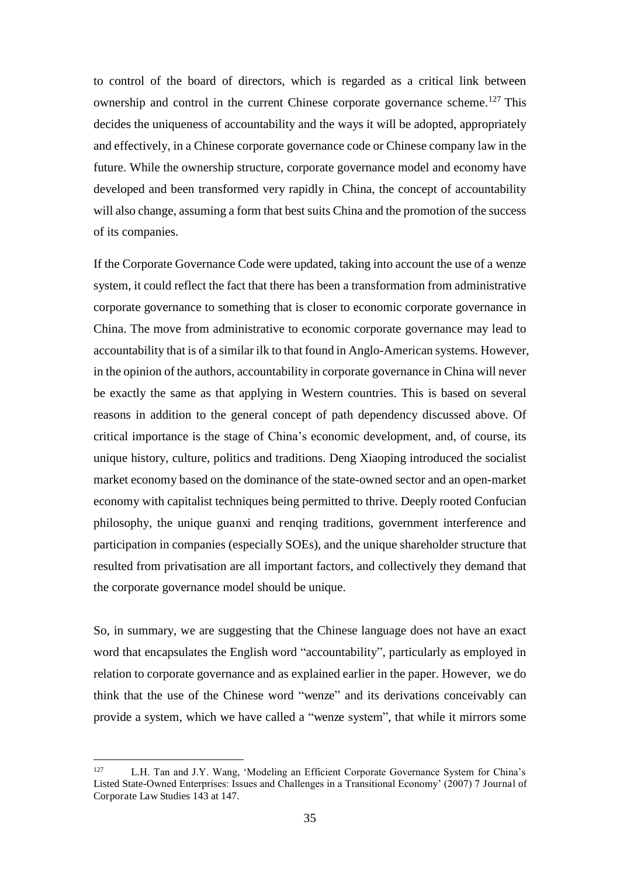to control of the board of directors, which is regarded as a critical link between ownership and control in the current Chinese corporate governance scheme.<sup>127</sup> This decides the uniqueness of accountability and the ways it will be adopted, appropriately and effectively, in a Chinese corporate governance code or Chinese company law in the future. While the ownership structure, corporate governance model and economy have developed and been transformed very rapidly in China, the concept of accountability will also change, assuming a form that best suits China and the promotion of the success of its companies.

If the Corporate Governance Code were updated, taking into account the use of a wenze system, it could reflect the fact that there has been a transformation from administrative corporate governance to something that is closer to economic corporate governance in China. The move from administrative to economic corporate governance may lead to accountability that is of a similar ilk to that found in Anglo-American systems. However, in the opinion of the authors, accountability in corporate governance in China will never be exactly the same as that applying in Western countries. This is based on several reasons in addition to the general concept of path dependency discussed above. Of critical importance is the stage of China's economic development, and, of course, its unique history, culture, politics and traditions. Deng Xiaoping introduced the socialist market economy based on the dominance of the state-owned sector and an open-market economy with capitalist techniques being permitted to thrive. Deeply rooted Confucian philosophy, the unique guanxi and renqing traditions, government interference and participation in companies (especially SOEs), and the unique shareholder structure that resulted from privatisation are all important factors, and collectively they demand that the corporate governance model should be unique.

So, in summary, we are suggesting that the Chinese language does not have an exact word that encapsulates the English word "accountability", particularly as employed in relation to corporate governance and as explained earlier in the paper. However, we do think that the use of the Chinese word "wenze" and its derivations conceivably can provide a system, which we have called a "wenze system", that while it mirrors some

 $\frac{1}{127}$  L.H. Tan and J.Y. Wang, 'Modeling an Efficient Corporate Governance System for China's Listed State-Owned Enterprises: Issues and Challenges in a Transitional Economy' (2007) 7 Journal of Corporate Law Studies 143 at 147.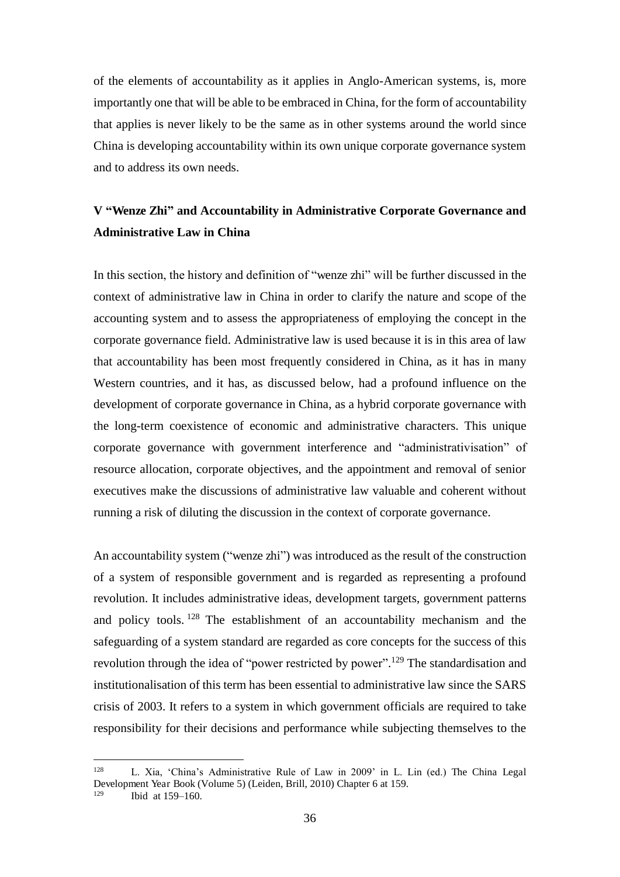of the elements of accountability as it applies in Anglo-American systems, is, more importantly one that will be able to be embraced in China, for the form of accountability that applies is never likely to be the same as in other systems around the world since China is developing accountability within its own unique corporate governance system and to address its own needs.

## **V "Wenze Zhi" and Accountability in Administrative Corporate Governance and Administrative Law in China**

In this section, the history and definition of "wenze zhi" will be further discussed in the context of administrative law in China in order to clarify the nature and scope of the accounting system and to assess the appropriateness of employing the concept in the corporate governance field. Administrative law is used because it is in this area of law that accountability has been most frequently considered in China, as it has in many Western countries, and it has, as discussed below, had a profound influence on the development of corporate governance in China, as a hybrid corporate governance with the long-term coexistence of economic and administrative characters. This unique corporate governance with government interference and "administrativisation" of resource allocation, corporate objectives, and the appointment and removal of senior executives make the discussions of administrative law valuable and coherent without running a risk of diluting the discussion in the context of corporate governance.

An accountability system ("wenze zhi") was introduced as the result of the construction of a system of responsible government and is regarded as representing a profound revolution. It includes administrative ideas, development targets, government patterns and policy tools. <sup>128</sup> The establishment of an accountability mechanism and the safeguarding of a system standard are regarded as core concepts for the success of this revolution through the idea of "power restricted by power".<sup>129</sup> The standardisation and institutionalisation of this term has been essential to administrative law since the SARS crisis of 2003. It refers to a system in which government officials are required to take responsibility for their decisions and performance while subjecting themselves to the

<sup>128</sup>  L. Xia, 'China's Administrative Rule of Law in 2009' in L. Lin (ed.) The China Legal Development Year Book (Volume 5) (Leiden, Brill, 2010) Chapter 6 at 159.

Ibid at 159–160.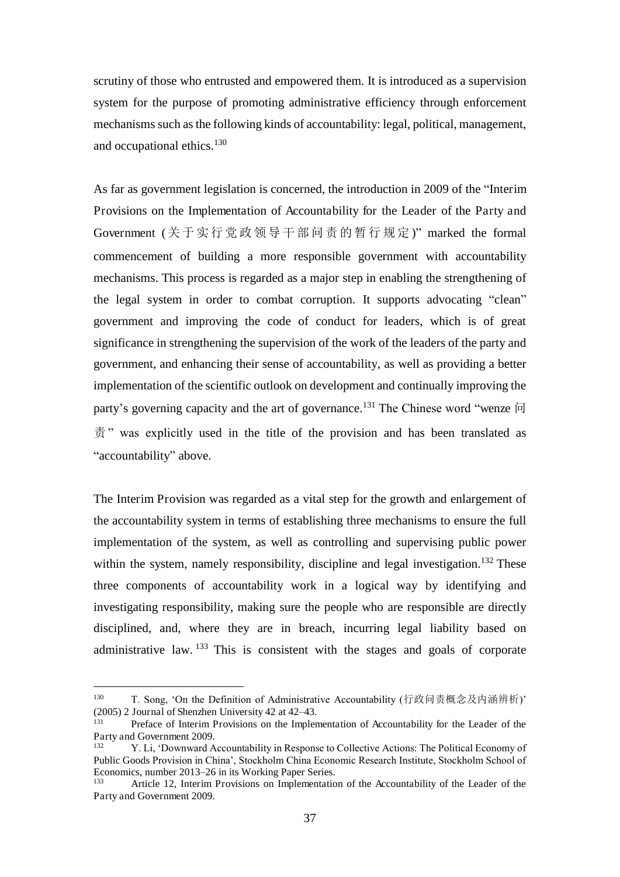scrutiny of those who entrusted and empowered them. It is introduced as a supervision system for the purpose of promoting administrative efficiency through enforcement mechanisms such as the following kinds of accountability: legal, political, management, and occupational ethics.<sup>130</sup>

As far as government legislation is concerned, the introduction in 2009 of the "Interim Provisions on the Implementation of Accountability for the Leader of the Party and Government (关于实行党政领导干部问责的暂行规定)" marked the formal commencement of building a more responsible government with accountability mechanisms. This process is regarded as a major step in enabling the strengthening of the legal system in order to combat corruption. It supports advocating "clean" government and improving the code of conduct for leaders, which is of great significance in strengthening the supervision of the work of the leaders of the party and government, and enhancing their sense of accountability, as well as providing a better implementation of the scientific outlook on development and continually improving the party's governing capacity and the art of governance.<sup>131</sup> The Chinese word "wenze  $|i\rangle$ " 责" was explicitly used in the title of the provision and has been translated as "accountability" above.

The Interim Provision was regarded as a vital step for the growth and enlargement of the accountability system in terms of establishing three mechanisms to ensure the full implementation of the system, as well as controlling and supervising public power within the system, namely responsibility, discipline and legal investigation.<sup>132</sup> These three components of accountability work in a logical way by identifying and investigating responsibility, making sure the people who are responsible are directly disciplined, and, where they are in breach, incurring legal liability based on administrative law. <sup>133</sup> This is consistent with the stages and goals of corporate

<sup>130</sup> T. Song, 'On the Definition of Administrative Accountability (行政问责概念及内涵辨析)' (2005) 2 Journal of Shenzhen University 42 at 42–43.

Preface of Interim Provisions on the Implementation of Accountability for the Leader of the Party and Government 2009.

<sup>132</sup> Y. Li, 'Downward Accountability in Response to Collective Actions: The Political Economy of Public Goods Provision in China', Stockholm China Economic Research Institute, Stockholm School of Economics, number 2013–26 in its Working Paper Series.<br><sup>133</sup> Article 12, Interim Provisions on Implementation

<sup>133</sup> Article 12, Interim Provisions on Implementation of the Accountability of the Leader of the Party and Government 2009.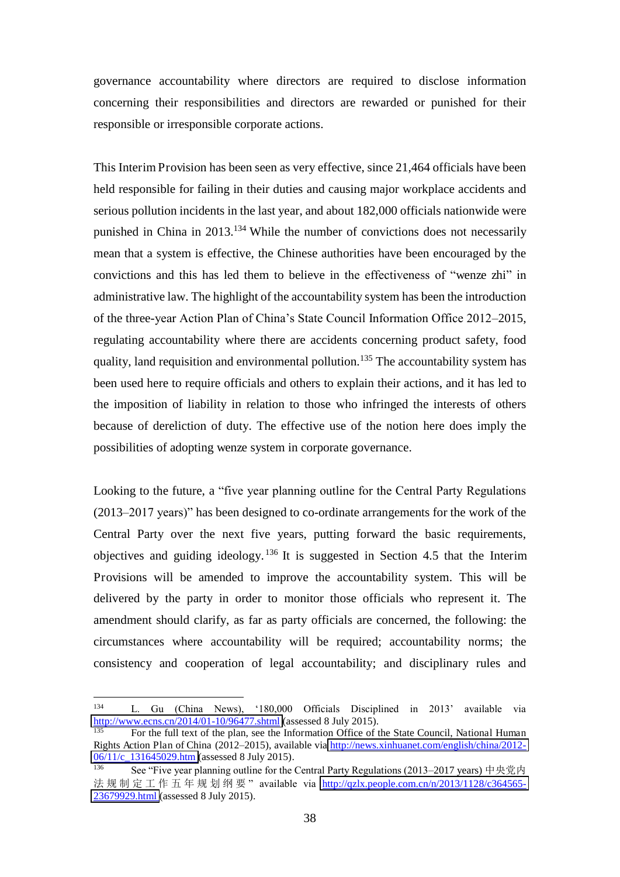governance accountability where directors are required to disclose information concerning their responsibilities and directors are rewarded or punished for their responsible or irresponsible corporate actions.

This Interim Provision has been seen as very effective, since 21,464 officials have been held responsible for failing in their duties and causing major workplace accidents and serious pollution incidents in the last year, and about 182,000 officials nationwide were punished in China in 2013.<sup>134</sup> While the number of convictions does not necessarily mean that a system is effective, the Chinese authorities have been encouraged by the convictions and this has led them to believe in the effectiveness of "wenze zhi" in administrative law. The highlight of the accountability system has been the introduction of the three-year Action Plan of China's State Council Information Office 2012–2015, regulating accountability where there are accidents concerning product safety, food quality, land requisition and environmental pollution.<sup>135</sup> The accountability system has been used here to require officials and others to explain their actions, and it has led to the imposition of liability in relation to those who infringed the interests of others because of dereliction of duty. The effective use of the notion here does imply the possibilities of adopting wenze system in corporate governance.

Looking to the future, a "five year planning outline for the Central Party Regulations (2013–2017 years)" has been designed to co-ordinate arrangements for the work of the Central Party over the next five years, putting forward the basic requirements, objectives and guiding ideology. <sup>136</sup> It is suggested in Section 4.5 that the Interim Provisions will be amended to improve the accountability system. This will be delivered by the party in order to monitor those officials who represent it. The amendment should clarify, as far as party officials are concerned, the following: the circumstances where accountability will be required; accountability norms; the consistency and cooperation of legal accountability; and disciplinary rules and

 $\overline{a}$ 134 L. Gu (China News), '180,000 Officials Disciplined in 2013' available via <http://www.ecns.cn/2014/01-10/96477.shtml>(assessed 8 July 2015).

<sup>135</sup> For the full text of the plan, see the Information Office of the State Council, National Human Rights Action Plan of China (2012–2015), available via [http://news.xinhuanet.com/english/china/2012-](http://news.xinhuanet.com/english/china/2012-06/11/c_131645029.htm) [06/11/c\\_131645029.htm](http://news.xinhuanet.com/english/china/2012-06/11/c_131645029.htm) (assessed 8 July 2015).

<sup>136</sup> See "Five year planning outline for the Central Party Regulations (2013–2017 years) 中央党内 法规制定工作五年规划纲要"available via [http://qzlx.people.com.cn/n/2013/1128/c364565-](http://qzlx.people.com.cn/n/2013/1128/c364565-23679929.html) [23679929.html](http://qzlx.people.com.cn/n/2013/1128/c364565-23679929.html) (assessed 8 July 2015).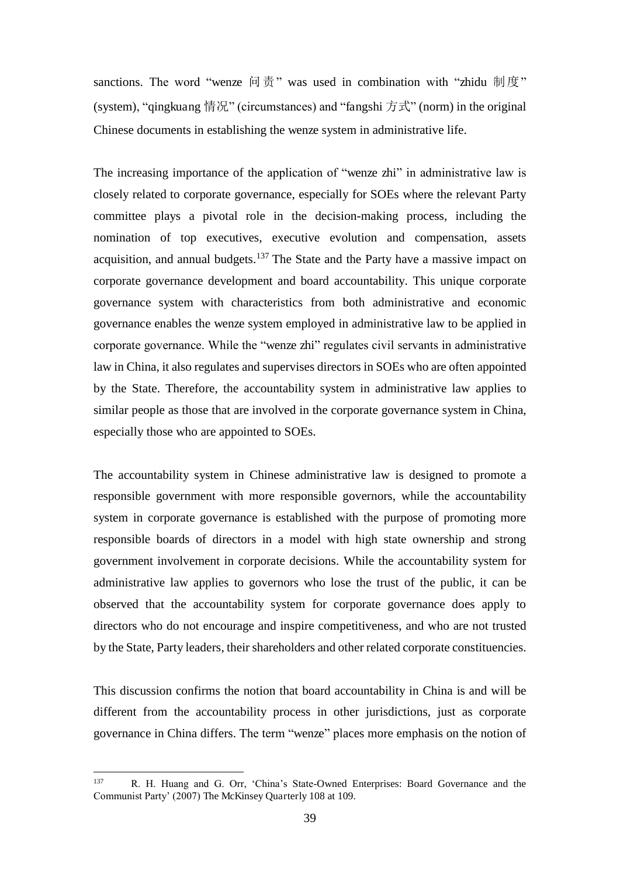sanctions. The word "wenze 问责" was used in combination with "zhidu 制度" (system), "qingkuang 情况" (circumstances) and "fangshi 方式" (norm) in the original Chinese documents in establishing the wenze system in administrative life.

The increasing importance of the application of "wenze zhi" in administrative law is closely related to corporate governance, especially for SOEs where the relevant Party committee plays a pivotal role in the decision-making process, including the nomination of top executives, executive evolution and compensation, assets acquisition, and annual budgets.<sup>137</sup> The State and the Party have a massive impact on corporate governance development and board accountability. This unique corporate governance system with characteristics from both administrative and economic governance enables the wenze system employed in administrative law to be applied in corporate governance. While the "wenze zhi" regulates civil servants in administrative law in China, it also regulates and supervises directors in SOEs who are often appointed by the State. Therefore, the accountability system in administrative law applies to similar people as those that are involved in the corporate governance system in China, especially those who are appointed to SOEs.

The accountability system in Chinese administrative law is designed to promote a responsible government with more responsible governors, while the accountability system in corporate governance is established with the purpose of promoting more responsible boards of directors in a model with high state ownership and strong government involvement in corporate decisions. While the accountability system for administrative law applies to governors who lose the trust of the public, it can be observed that the accountability system for corporate governance does apply to directors who do not encourage and inspire competitiveness, and who are not trusted by the State, Party leaders, their shareholders and other related corporate constituencies.

This discussion confirms the notion that board accountability in China is and will be different from the accountability process in other jurisdictions, just as corporate governance in China differs. The term "wenze" places more emphasis on the notion of

<sup>137</sup>  R. H. Huang and G. Orr, 'China's State-Owned Enterprises: Board Governance and the Communist Party' (2007) The McKinsey Quarterly 108 at 109.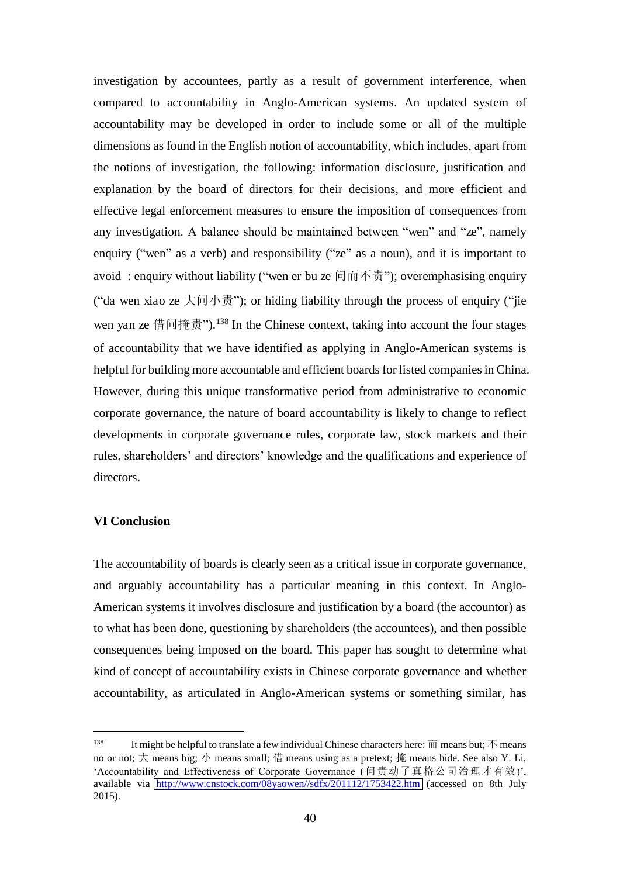investigation by accountees, partly as a result of government interference, when compared to accountability in Anglo-American systems. An updated system of accountability may be developed in order to include some or all of the multiple dimensions as found in the English notion of accountability, which includes, apart from the notions of investigation, the following: information disclosure, justification and explanation by the board of directors for their decisions, and more efficient and effective legal enforcement measures to ensure the imposition of consequences from any investigation. A balance should be maintained between "wen" and "ze", namely enquiry ("wen" as a verb) and responsibility ("ze" as a noun), and it is important to avoid : enquiry without liability ("wen er bu ze 问而不责"); overemphasising enquiry ("da wen xiao ze  $\pm \overline{m} \rightarrow \overline{m}$ "); or hiding liability through the process of enquiry ("jie wen yan ze 借问掩责").<sup>138</sup> In the Chinese context, taking into account the four stages of accountability that we have identified as applying in Anglo-American systems is helpful for building more accountable and efficient boards for listed companies in China. However, during this unique transformative period from administrative to economic corporate governance, the nature of board accountability is likely to change to reflect developments in corporate governance rules, corporate law, stock markets and their rules, shareholders' and directors' knowledge and the qualifications and experience of directors.

#### **VI Conclusion**

 $\overline{a}$ 

The accountability of boards is clearly seen as a critical issue in corporate governance, and arguably accountability has a particular meaning in this context. In Anglo-American systems it involves disclosure and justification by a board (the accountor) as to what has been done, questioning by shareholders (the accountees), and then possible consequences being imposed on the board. This paper has sought to determine what kind of concept of accountability exists in Chinese corporate governance and whether accountability, as articulated in Anglo-American systems or something similar, has

<sup>&</sup>lt;sup>138</sup> It might be helpful to translate a few individual Chinese characters here:  $\overline{m}$  means but;  $\overline{\wedge}$  means no or not; 大 means big; 小 means small; 借 means using as a pretext; 掩 means hide. See also Y. Li, 'Accountability and Effectiveness of Corporate Governance (问责动了真格公司治理才有效)', available via [http://www.cnstock.com/08yaowen//sdfx/201112/1753422.htm](http://www.cnstock.com/08yaowen/sdfx/201112/1753422.htm) (accessed on 8th July 2015).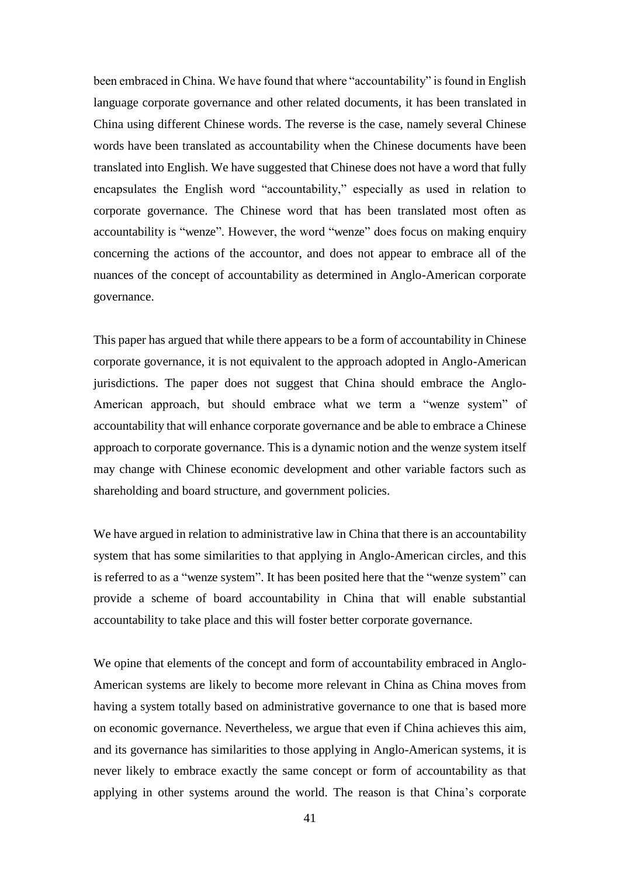been embraced in China. We have found that where "accountability" is found in English language corporate governance and other related documents, it has been translated in China using different Chinese words. The reverse is the case, namely several Chinese words have been translated as accountability when the Chinese documents have been translated into English. We have suggested that Chinese does not have a word that fully encapsulates the English word "accountability," especially as used in relation to corporate governance. The Chinese word that has been translated most often as accountability is "wenze". However, the word "wenze" does focus on making enquiry concerning the actions of the accountor, and does not appear to embrace all of the nuances of the concept of accountability as determined in Anglo-American corporate governance.

This paper has argued that while there appears to be a form of accountability in Chinese corporate governance, it is not equivalent to the approach adopted in Anglo-American jurisdictions. The paper does not suggest that China should embrace the Anglo-American approach, but should embrace what we term a "wenze system" of accountability that will enhance corporate governance and be able to embrace a Chinese approach to corporate governance. This is a dynamic notion and the wenze system itself may change with Chinese economic development and other variable factors such as shareholding and board structure, and government policies.

We have argued in relation to administrative law in China that there is an accountability system that has some similarities to that applying in Anglo-American circles, and this is referred to as a "wenze system". It has been posited here that the "wenze system" can provide a scheme of board accountability in China that will enable substantial accountability to take place and this will foster better corporate governance.

We opine that elements of the concept and form of accountability embraced in Anglo-American systems are likely to become more relevant in China as China moves from having a system totally based on administrative governance to one that is based more on economic governance. Nevertheless, we argue that even if China achieves this aim, and its governance has similarities to those applying in Anglo-American systems, it is never likely to embrace exactly the same concept or form of accountability as that applying in other systems around the world. The reason is that China's corporate